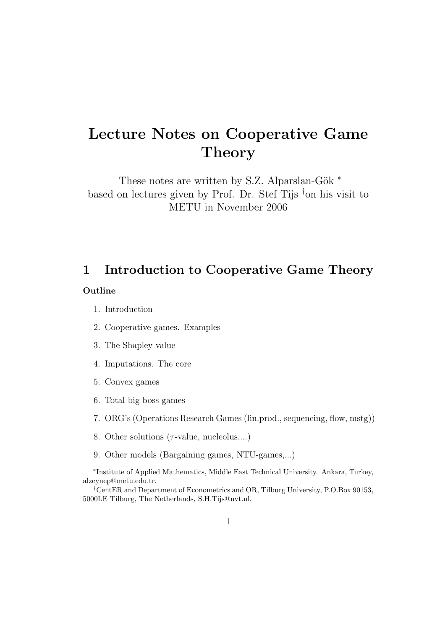# Lecture Notes on Cooperative Game **Theory**

These notes are written by S.Z. Alparslan-Gök  $*$ based on lectures given by Prof. Dr. Stef Tijs  $\dagger$ on his visit to METU in November 2006

# 1 Introduction to Cooperative Game Theory

#### Outline

- 1. Introduction
- 2. Cooperative games. Examples
- 3. The Shapley value
- 4. Imputations. The core
- 5. Convex games
- 6. Total big boss games
- 7. ORG's (Operations Research Games (lin.prod., sequencing, flow, mstg))
- 8. Other solutions  $(\tau$ -value, nucleolus,...)
- 9. Other models (Bargaining games, NTU-games,...)

<sup>∗</sup> Institute of Applied Mathematics, Middle East Technical University. Ankara, Turkey, alzeynep@metu.edu.tr.

<sup>†</sup>CentER and Department of Econometrics and OR, Tilburg University, P.O.Box 90153, 5000LE Tilburg, The Netherlands, S.H.Tijs@uvt.nl.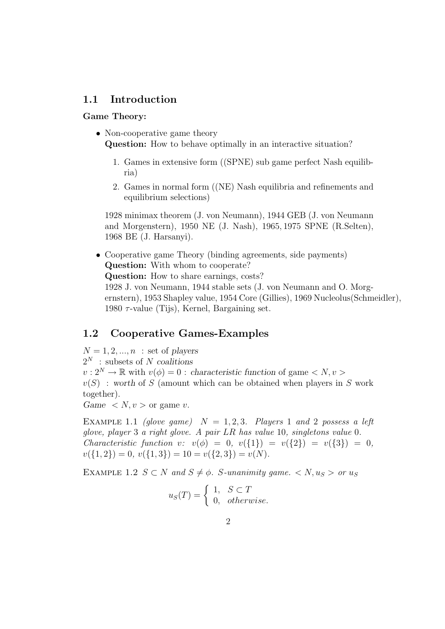## 1.1 Introduction

#### Game Theory:

- Non-cooperative game theory Question: How to behave optimally in an interactive situation?
	- 1. Games in extensive form ((SPNE) sub game perfect Nash equilibria)
	- 2. Games in normal form ((NE) Nash equilibria and refinements and equilibrium selections)

1928 minimax theorem (J. von Neumann), 1944 GEB (J. von Neumann and Morgenstern), 1950 NE (J. Nash), 1965, 1975 SPNE (R.Selten), 1968 BE (J. Harsanyi).

• Cooperative game Theory (binding agreements, side payments) Question: With whom to cooperate? Question: How to share earnings, costs? 1928 J. von Neumann, 1944 stable sets (J. von Neumann and O. Morgernstern), 1953 Shapley value, 1954 Core (Gillies), 1969 Nucleolus(Schmeidler), 1980  $\tau$ -value (Tijs), Kernel, Bargaining set.

# 1.2 Cooperative Games-Examples

 $N = 1, 2, ..., n$  : set of players  $2^N$ : subsets of N coalitions  $v: 2^N \to \mathbb{R}$  with  $v(\phi) = 0$ : characteristic function of game  $\langle N, v \rangle$  $v(S)$ : worth of S (amount which can be obtained when players in S work together).

Game  $\langle N, v \rangle$  or game v.

EXAMPLE 1.1 (glove game)  $N = 1, 2, 3$ . Players 1 and 2 possess a left glove, player 3 a right glove. A pair LR has value 10, singletons value 0. Characteristic function v:  $v(\phi) = 0, v({1}) = v({2}) = v({3}) = 0,$  $v({1, 2}) = 0, v({1, 3}) = 10 = v({2, 3}) = v(N).$ 

EXAMPLE 1.2  $S \subset N$  and  $S \neq \emptyset$ . S-unanimity game.  $\langle N, u_S \rangle$  or  $u_S$ 

$$
u_S(T) = \begin{cases} 1, & S \subset T \\ 0, & otherwise. \end{cases}
$$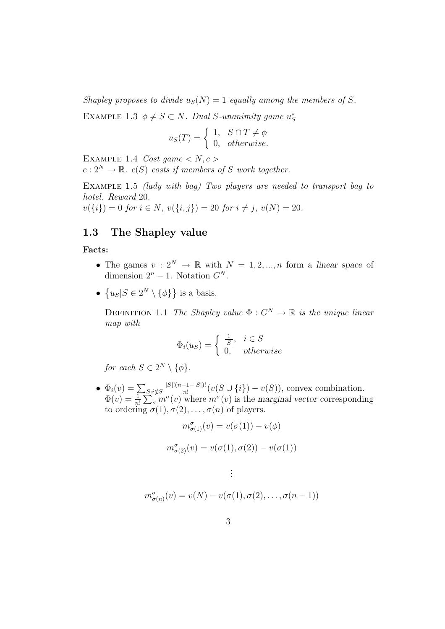Shapley proposes to divide  $u_S(N) = 1$  equally among the members of S.

EXAMPLE 1.3  $\phi \neq S \subset N$ . Dual S-unanimity game  $u_S^*$ 

$$
u_S(T) = \begin{cases} 1, & S \cap T \neq \phi \\ 0, & otherwise. \end{cases}
$$

EXAMPLE 1.4 Cost game  $\langle N, c \rangle$ 

 $c: 2^N \to \mathbb{R}$ .  $c(S)$  costs if members of S work together.

EXAMPLE 1.5 *(lady with bag)* Two players are needed to transport bag to hotel. Reward 20.

 $v({i}) = 0$  for  $i \in N$ ,  $v({i,j}) = 20$  for  $i \neq j$ ,  $v(N) = 20$ .

## 1.3 The Shapley value

#### Facts:

- The games  $v: 2^N \to \mathbb{R}$  with  $N = 1, 2, ..., n$  form a linear space of dimension  $2^n - 1$ . Notation  $G^N$ .
- $\{u_S | S \in 2^N \setminus \{\phi\}\}\$ is a basis.

DEFINITION 1.1 The Shapley value  $\Phi: G^N \to \mathbb{R}$  is the unique linear map with

$$
\Phi_i(u_S) = \begin{cases} \frac{1}{|S|}, & i \in S \\ 0, & otherwise \end{cases}
$$

for each  $S \in 2^N \setminus \{\phi\}.$ 

•  $\Phi_i(v) = \sum_{S:i \notin S}$  $|S|!(n-1-|S|)!$  $\frac{(-1-|S|)!}{n!}(v(S\cup\{i\})-v(S)),$  convex combination.  $\Phi(v) = \frac{1}{n!} \sum_{\sigma}^{\infty} m^{\sigma}(v)$  where  $m^{\sigma}(v)$  is the marginal vector corresponding to ordering  $\sigma(1), \sigma(2), \ldots, \sigma(n)$  of players.

$$
m^{\sigma}_{\sigma(1)}(v) = v(\sigma(1)) - v(\phi)
$$

$$
m^{\sigma}_{\sigma(2)}(v) = v(\sigma(1), \sigma(2)) - v(\sigma(1))
$$

$$
\vdots
$$
  

$$
m^{\sigma}_{\sigma(n)}(v) = v(N) - v(\sigma(1), \sigma(2), \dots, \sigma(n-1))
$$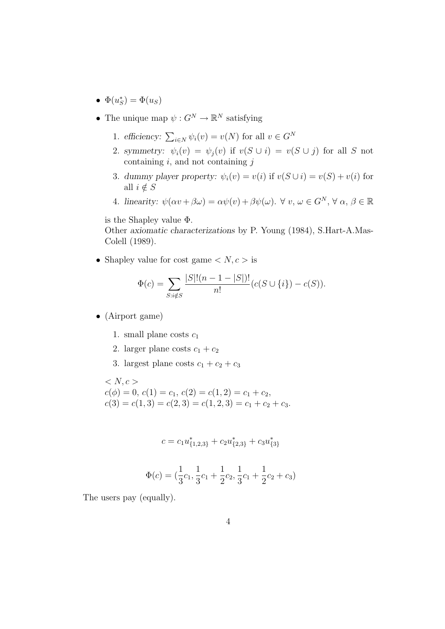- $\Phi(u_S^*) = \Phi(u_S)$
- The unique map  $\psi: G^N \to \mathbb{R}^N$  satisfying
	- 1. efficiency:  $\sum_{i \in N} \psi_i(v) = v(N)$  for all  $v \in G^N$
	- 2. symmetry:  $\psi_i(v) = \psi_j(v)$  if  $v(S \cup i) = v(S \cup j)$  for all S not containing  $i$ , and not containing  $j$
	- 3. dummy player property:  $\psi_i(v) = v(i)$  if  $v(S \cup i) = v(S) + v(i)$  for all  $i \notin S$
	- 4. linearity:  $\psi(\alpha v + \beta \omega) = \alpha \psi(v) + \beta \psi(\omega)$ .  $\forall v, \omega \in G^N$ ,  $\forall \alpha, \beta \in \mathbb{R}$

is the Shapley value Φ.

Other axiomatic characterizations by P. Young (1984), S.Hart-A.Mas-Colell (1989).

• Shapley value for cost game  $\langle N, c \rangle$  is

$$
\Phi(c) = \sum_{S: i \notin S} \frac{|S|!(n-1-|S|)!}{n!} (c(S \cup \{i\}) - c(S)).
$$

- (Airport game)
	- 1. small plane costs  $c_1$
	- 2. larger plane costs  $c_1 + c_2$
	- 3. largest plane costs  $c_1 + c_2 + c_3$

 $< N, c >$  $c(\phi) = 0, c(1) = c_1, c(2) = c(1, 2) = c_1 + c_2,$  $c(3) = c(1, 3) = c(2, 3) = c(1, 2, 3) = c_1 + c_2 + c_3.$ 

$$
c = c_1 u_{\{1,2,3\}}^* + c_2 u_{\{2,3\}}^* + c_3 u_{\{3\}}^*
$$

$$
\Phi(c) = (\frac{1}{3}c_1, \frac{1}{3}c_1 + \frac{1}{2}c_2, \frac{1}{3}c_1 + \frac{1}{2}c_2 + c_3)
$$

The users pay (equally).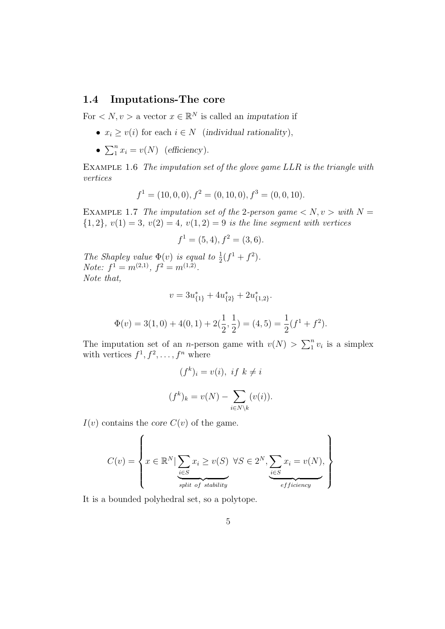# 1.4 Imputations-The core

For  $\langle N, v \rangle$  a vector  $x \in \mathbb{R}^N$  is called an *imputation* if

- $x_i \ge v(i)$  for each  $i \in N$  (individual rationality),
- $\sum_{i=1}^{n} x_i = v(N)$  (efficiency).

EXAMPLE 1.6 The imputation set of the glove game LLR is the triangle with vertices

$$
f1 = (10, 0, 0), f2 = (0, 10, 0), f3 = (0, 0, 10).
$$

EXAMPLE 1.7 The imputation set of the 2-person game  $\langle N, v \rangle$  with  $N =$  ${1, 2}, v(1) = 3, v(2) = 4, v(1, 2) = 9$  is the line segment with vertices

$$
f^1 = (5, 4), f^2 = (3, 6).
$$

The Shapley value  $\Phi(v)$  is equal to  $\frac{1}{2}(f^1 + f^2)$ . Note:  $f^1 = m^{(2,1)}$ ,  $f^2 = m^{(1,2)}$ . Note that,

$$
v = 3u_{\{1\}}^* + 4u_{\{2\}}^* + 2u_{\{1,2\}}^*.
$$

$$
\Phi(v) = 3(1,0) + 4(0,1) + 2(\frac{1}{2}, \frac{1}{2}) = (4,5) = \frac{1}{2}(f^1 + f^2).
$$

The imputation set of an *n*-person game with  $v(N) > \sum_{1}^{n} v_i$  is a simplex with vertices  $f^1, f^2, \ldots, f^n$  where

$$
(f^k)_i = v(i), \text{ if } k \neq i
$$

$$
(f^k)_k = v(N) - \sum_{i \in N \setminus k} (v(i)).
$$

 $I(v)$  contains the core  $C(v)$  of the game.

$$
C(v) = \left\{ x \in \mathbb{R}^N \mid \underbrace{\sum_{i \in S} x_i \geq v(S)}_{split \ of \ stability} \forall S \in 2^N, \underbrace{\sum_{i \in S} x_i = v(N)}_{efficiency}, \right\}
$$

It is a bounded polyhedral set, so a polytope.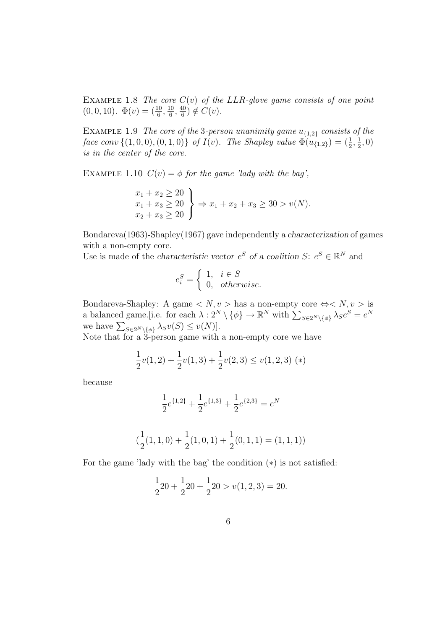EXAMPLE 1.8 The core  $C(v)$  of the LLR-glove game consists of one point  $(0,0,10)$ .  $\Phi(v) = \left(\frac{10}{6}, \frac{10}{6}\right)$  $\frac{10}{6}, \frac{40}{6}$  $\frac{10}{6}$ )  $\notin C(v)$ .

EXAMPLE 1.9 The core of the 3-person unanimity game  $u_{\{1,2\}}$  consists of the face conv  $\{(1,0,0), (0,1,0)\}\;$  of  $I(v)$ . The Shapley value  $\Phi(u_{\{1,2\}}) = (\frac{1}{2}, \frac{1}{2})$  $(\frac{1}{2}, 0)$ is in the center of the core.

EXAMPLE 1.10  $C(v) = \phi$  for the game 'lady with the bag',

$$
\begin{aligned}\nx_1 + x_2 &\ge 20 \\
x_1 + x_3 &\ge 20 \\
x_2 + x_3 &\ge 20\n\end{aligned}\n\Rightarrow x_1 + x_2 + x_3 \ge 30 > v(N).
$$

Bondareva(1963)-Shapley(1967) gave independently a characterization of games with a non-empty core.

Use is made of the characteristic vector  $e^S$  of a coalition  $S: e^S \in \mathbb{R}^N$  and

$$
e_i^S = \begin{cases} 1, & i \in S \\ 0, & otherwise. \end{cases}
$$

Bondareva-Shapley: A game  $\langle N, v \rangle$  has a non-empty core  $\Leftrightarrow \langle N, v \rangle$  is a balanced game. [i.e. for each  $\lambda: 2^N \setminus \{\phi\} \to \mathbb{R}^N_+$  with  $\sum_{S \in 2^N \setminus \{\phi\}} \lambda_S e^S = e^N$ we have  $\sum_{S \in 2^N \setminus \{\phi\}} \lambda_S v(S) \le v(N)$ .

Note that for a 3-person game with a non-empty core we have

$$
\frac{1}{2}v(1,2) + \frac{1}{2}v(1,3) + \frac{1}{2}v(2,3) \le v(1,2,3)
$$
 (\*)

because

$$
\frac{1}{2}e^{\{1,2\}} + \frac{1}{2}e^{\{1,3\}} + \frac{1}{2}e^{\{2,3\}} = e^N
$$

$$
(\frac{1}{2}(1,1,0) + \frac{1}{2}(1,0,1) + \frac{1}{2}(0,1,1) = (1,1,1))
$$

For the game 'lady with the bag' the condition (∗) is not satisfied:

$$
\frac{1}{2}20 + \frac{1}{2}20 + \frac{1}{2}20 > v(1, 2, 3) = 20.
$$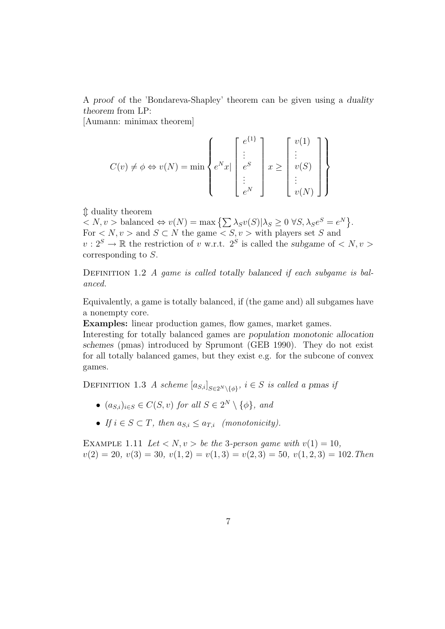A proof of the 'Bondareva-Shapley' theorem can be given using a duality theorem from LP:

[Aumann: minimax theorem]

$$
C(v) \neq \phi \Leftrightarrow v(N) = \min \left\{ e^N x \mid \begin{bmatrix} e^{\{1\}} \\ \vdots \\ e^S \\ \vdots \\ e^N \end{bmatrix} x \geq \begin{bmatrix} v(1) \\ \vdots \\ v(S) \\ \vdots \\ v(N) \end{bmatrix} \right\}
$$

m duality theorem

 $\langle N, v \rangle$  balanced  $\Leftrightarrow v(N) = \max \left\{ \sum \lambda_S v(S) | \lambda_S \geq 0 \ \forall S, \lambda_S e^S = e^N \right\}.$ For  $\langle N, v \rangle$  and  $S \subset N$  the game  $\langle S, v \rangle$  with players set S and  $v: 2<sup>S</sup> \to \mathbb{R}$  the restriction of v w.r.t.  $2<sup>S</sup>$  is called the subgame of  $\langle N, v \rangle$ corresponding to S.

DEFINITION 1.2 A game is called totally balanced if each subgame is balanced.

Equivalently, a game is totally balanced, if (the game and) all subgames have a nonempty core.

Examples: linear production games, flow games, market games.

Interesting for totally balanced games are population monotonic allocation schemes (pmas) introduced by Sprumont (GEB 1990). They do not exist for all totally balanced games, but they exist e.g. for the subcone of convex games.

DEFINITION 1.3 A scheme  $[a_{S,i}]_{S \in 2^N \setminus \{\phi\}}, i \in S$  is called a pmas if

- $(a_{S,i})_{i\in S} \in C(S, v)$  for all  $S \in 2^N \setminus \{\phi\}$ , and
- If  $i \in S \subset T$ , then  $a_{S,i} \le a_{T,i}$  (monotonicity).

EXAMPLE 1.11 Let  $\langle N, v \rangle$  be the 3-person game with  $v(1) = 10$ ,  $v(2) = 20, v(3) = 30, v(1, 2) = v(1, 3) = v(2, 3) = 50, v(1, 2, 3) = 102$ . Then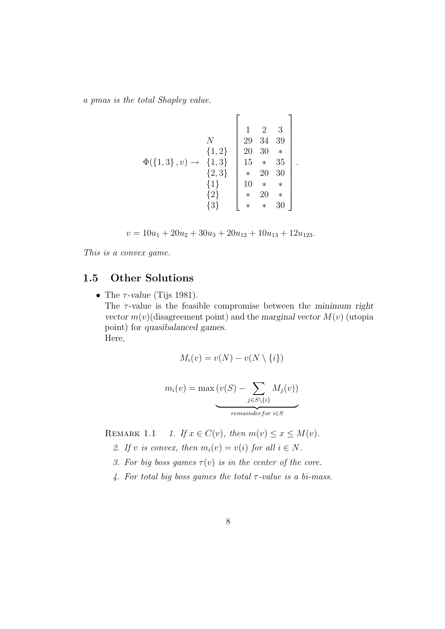a pmas is the total Shapley value.

$$
\Phi(\{1,3\}, v) \rightarrow \begin{Bmatrix} 1 & 2 & 3 \\ 1, 2 & 3 & 39 \\ 29 & 34 & 39 \\ 20 & 30 & * \\ 2 & 30 & * \\ 1 & 15 & * & 35 \\ * & 20 & 30 \\ * & * & 20 & * \\ * & * & * & 30 \end{Bmatrix}.
$$

 $\overline{a}$ 

 $v = 10u_1 + 20u_2 + 30u_3 + 20u_{12} + 10u_{13} + 12u_{123}.$ 

This is a convex game.

# 1.5 Other Solutions

• The  $\tau$ -value (Tijs 1981). The  $\tau$ -value is the feasible compromise between the minimum right vector  $m(v)$  (disagreement point) and the marginal vector  $M(v)$  (utopia point) for quasibalanced games. Here,

$$
M_i(v) = v(N) - v(N \setminus \{i\})
$$

$$
m_i(v) = \max(v(S) - \sum_{j \in S \setminus \{i\}} M_j(v))
$$
  
remainder for i \in S

REMARK 1.1 1. If  $x \in C(v)$ , then  $m(v) \le x \le M(v)$ .

- 2. If v is convex, then  $m_i(v) = v(i)$  for all  $i \in N$ .
- 3. For big boss games  $\tau(v)$  is in the center of the core.
- 4. For total big boss games the total  $\tau$ -value is a bi-mass.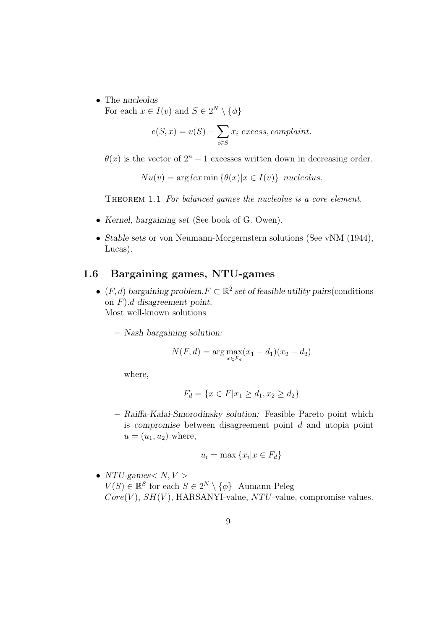• The nucleolus

For each  $x \in I(v)$  and  $S \in 2^N \setminus \{\phi\}$ 

$$
e(S, x) = v(S) - \sum_{i \in S} x_i \text{ excess, complaint.}
$$

 $\theta(x)$  is the vector of  $2^{n} - 1$  excesses written down in decreasing order.

 $Nu(v) = \arg lex \min \{\theta(x) | x \in I(v)\}\text{ nucleolus.}$ 

THEOREM 1.1 For balanced games the nucleolus is a core element.

- Kernel, bargaining set (See book of G. Owen).
- Stable sets or von Neumann-Morgernstern solutions (See vNM (1944), Lucas).

# 1.6 Bargaining games, NTU-games

- $(F, d)$  bargaining problem.  $F \subset \mathbb{R}^2$  set of feasible utility pairs (conditions on F).d disagreement point. Most well-known solutions
	- Nash bargaining solution:

$$
N(F, d) = \arg \max_{x \in F_d} (x_1 - d_1)(x_2 - d_2)
$$

where,

$$
F_d = \{ x \in F | x_1 \ge d_1, x_2 \ge d_2 \}
$$

– Raiffa-Kalai-Smorodinsky solution: Feasible Pareto point which is compromise between disagreement point  $d$  and utopia point  $u = (u_1, u_2)$  where,

$$
u_i = \max\left\{x_i | x \in F_d\right\}
$$

• NTU-games  $N, V >$  $V(S) \in \mathbb{R}^S$  for each  $S \in 2^N \setminus \{\phi\}$  Aumann-Peleg  $Core(V), SH(V), HARSANYI-value, NTU-value, compromise values.$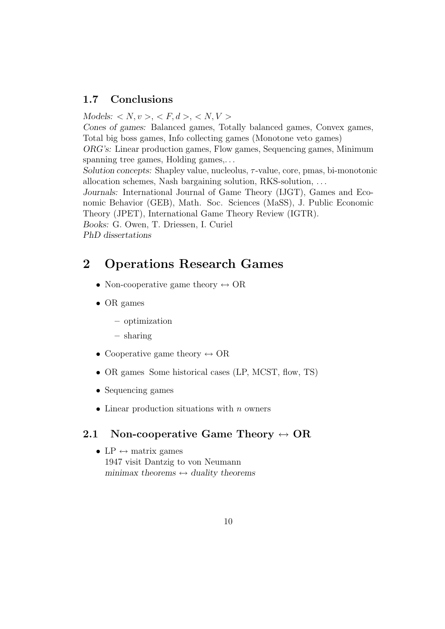# 1.7 Conclusions

 $\text{Models: } \langle N, v \rangle, \langle F, d \rangle, \langle N, V \rangle$ Cones of games: Balanced games, Totally balanced games, Convex games, Total big boss games, Info collecting games (Monotone veto games) ORG's: Linear production games, Flow games, Sequencing games, Minimum spanning tree games, Holding games,... Solution concepts: Shapley value, nucleolus,  $\tau$ -value, core, pmas, bi-monotonic allocation schemes, Nash bargaining solution, RKS-solution, ... Journals: International Journal of Game Theory (IJGT), Games and Economic Behavior (GEB), Math. Soc. Sciences (MaSS), J. Public Economic Theory (JPET), International Game Theory Review (IGTR). Books: G. Owen, T. Driessen, I. Curiel PhD dissertations

# 2 Operations Research Games

- Non-cooperative game theory  $\leftrightarrow$  OR
- OR games
	- optimization
	- sharing
- Cooperative game theory  $\leftrightarrow$  OR
- OR games Some historical cases (LP, MCST, flow, TS)
- Sequencing games
- Linear production situations with  $n$  owners

#### 2.1 Non-cooperative Game Theory  $\leftrightarrow$  OR

• LP  $\leftrightarrow$  matrix games 1947 visit Dantzig to von Neumann minimax theorems  $\leftrightarrow$  duality theorems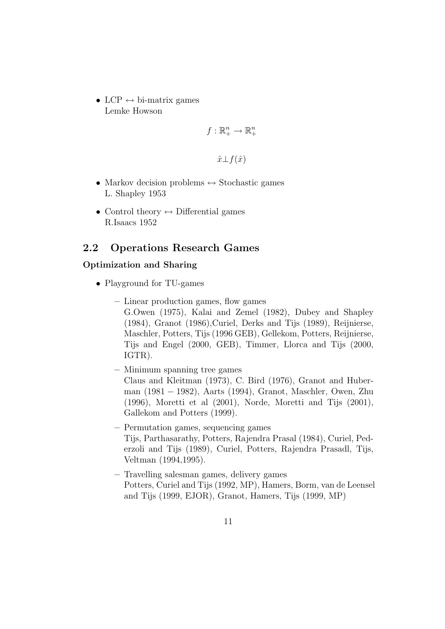• LCP  $\leftrightarrow$  bi-matrix games Lemke Howson

$$
f:\mathbb{R}^n_+\to\mathbb{R}^n_+
$$

 $\hat{x} \perp f(\hat{x})$ 

- Markov decision problems  $\leftrightarrow$  Stochastic games L. Shapley 1953
- Control theory  $\leftrightarrow$  Differential games R.Isaacs 1952

# 2.2 Operations Research Games

#### Optimization and Sharing

- Playground for TU-games
	- Linear production games, flow games G.Owen (1975), Kalai and Zemel (1982), Dubey and Shapley (1984), Granot (1986),Curiel, Derks and Tijs (1989), Reijnierse, Maschler, Potters, Tijs (1996 GEB), Gellekom, Potters, Reijnierse, Tijs and Engel (2000, GEB), Timmer, Llorca and Tijs (2000, IGTR).
	- Minimum spanning tree games Claus and Kleitman (1973), C. Bird (1976), Granot and Huberman (1981 − 1982), Aarts (1994), Granot, Maschler, Owen, Zhu (1996), Moretti et al (2001), Norde, Moretti and Tijs (2001), Gallekom and Potters (1999).
	- Permutation games, sequencing games Tijs, Parthasarathy, Potters, Rajendra Prasal (1984), Curiel, Pederzoli and Tijs (1989), Curiel, Potters, Rajendra Prasadl, Tijs, Veltman (1994,1995).
	- Travelling salesman games, delivery games Potters, Curiel and Tijs (1992, MP), Hamers, Borm, van de Leensel and Tijs (1999, EJOR), Granot, Hamers, Tijs (1999, MP)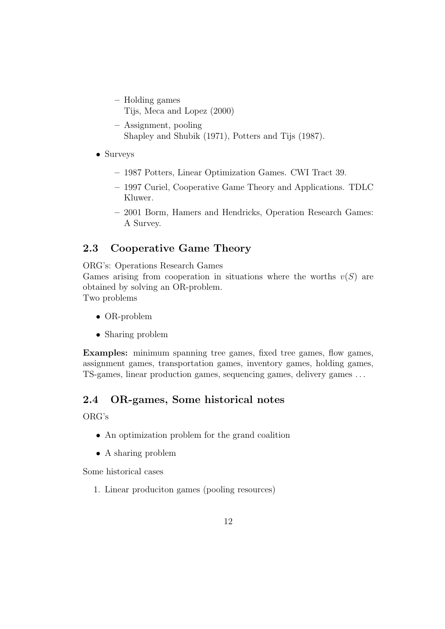- Holding games Tijs, Meca and Lopez (2000)
- Assignment, pooling Shapley and Shubik (1971), Potters and Tijs (1987).
- Surveys
	- 1987 Potters, Linear Optimization Games. CWI Tract 39.
	- 1997 Curiel, Cooperative Game Theory and Applications. TDLC Kluwer.
	- 2001 Borm, Hamers and Hendricks, Operation Research Games: A Survey.

# 2.3 Cooperative Game Theory

ORG's: Operations Research Games

Games arising from cooperation in situations where the worths  $v(S)$  are obtained by solving an OR-problem.

Two problems

- OR-problem
- Sharing problem

Examples: minimum spanning tree games, fixed tree games, flow games, assignment games, transportation games, inventory games, holding games, TS-games, linear production games, sequencing games, delivery games ...

# 2.4 OR-games, Some historical notes

ORG's

- An optimization problem for the grand coalition
- A sharing problem

Some historical cases

1. Linear produciton games (pooling resources)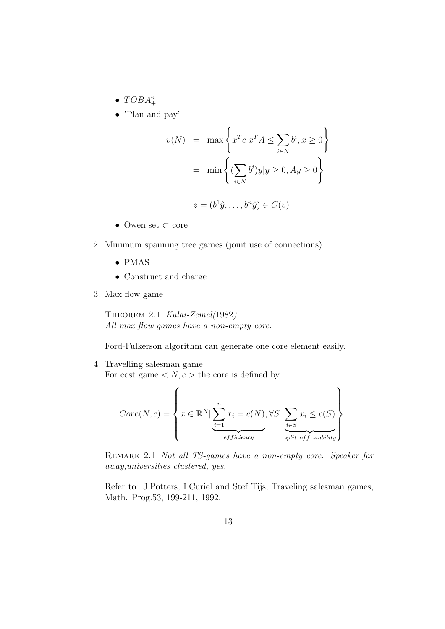- $TOBA^n_+$
- 'Plan and pay'

$$
v(N) = \max \left\{ x^T c | x^T A \le \sum_{i \in N} b^i, x \ge 0 \right\}
$$

$$
= \min \left\{ (\sum_{i \in N} b^i) y | y \ge 0, Ay \ge 0 \right\}
$$

$$
z = (b^1 \hat{y}, \dots, b^n \hat{y}) \in C(v)
$$

- Owen set ⊂ core
- 2. Minimum spanning tree games (joint use of connections)
	- PMAS
	- Construct and charge
- 3. Max flow game

Theorem 2.1 Kalai-Zemel(1982) All max flow games have a non-empty core.

Ford-Fulkerson algorithm can generate one core element easily.

4. Travelling salesman game For cost game  $\langle N, c \rangle$  the core is defined by

$$
Core(N,c) = \left\{ x \in \mathbb{R}^N \mid \underbrace{\sum_{i=1}^n x_i = c(N), \forall S \sum_{i \in S} x_i \leq c(S)}_{efficiency} \right\}
$$

REMARK 2.1 Not all TS-games have a non-empty core. Speaker far away,universities clustered, yes.

Refer to: J.Potters, I.Curiel and Stef Tijs, Traveling salesman games, Math. Prog.53, 199-211, 1992.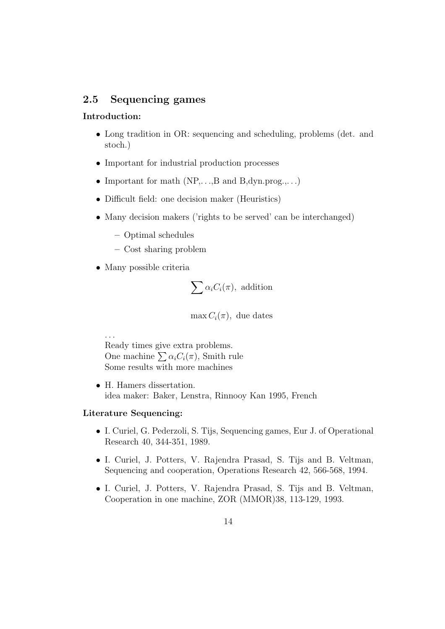# 2.5 Sequencing games

#### Introduction:

- Long tradition in OR: sequencing and scheduling, problems (det. and stoch.)
- Important for industrial production processes
- Important for math  $(NP, \ldots, B \text{ and } B, \text{dyn.prog.}, \ldots)$
- Difficult field: one decision maker (Heuristics)
- Many decision makers ('rights to be served' can be interchanged)
	- Optimal schedules
	- Cost sharing problem
- Many possible criteria

$$
\sum \alpha_i C_i(\pi)
$$
, addition

 $\max C_i(\pi)$ , due dates

Ready times give extra problems. One machine  $\sum \alpha_i C_i(\pi)$ , Smith rule Some results with more machines

• H. Hamers dissertation. idea maker: Baker, Lenstra, Rinnooy Kan 1995, French

#### Literature Sequencing:

...

- I. Curiel, G. Pederzoli, S. Tijs, Sequencing games, Eur J. of Operational Research 40, 344-351, 1989.
- I. Curiel, J. Potters, V. Rajendra Prasad, S. Tijs and B. Veltman, Sequencing and cooperation, Operations Research 42, 566-568, 1994.
- I. Curiel, J. Potters, V. Rajendra Prasad, S. Tijs and B. Veltman, Cooperation in one machine, ZOR (MMOR)38, 113-129, 1993.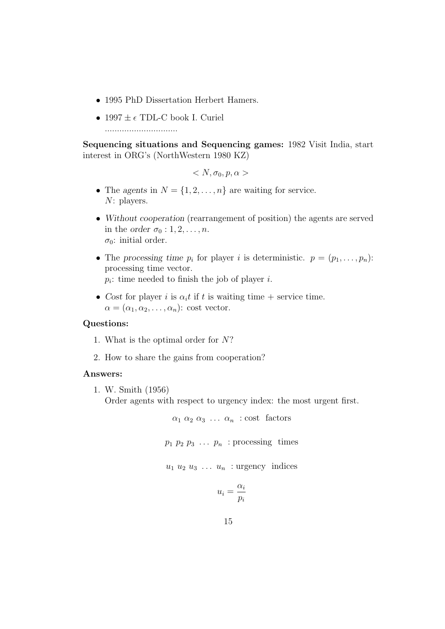- 1995 PhD Dissertation Herbert Hamers.
- 1997  $\pm \epsilon$  TDL-C book I. Curiel

..............................

Sequencing situations and Sequencing games: 1982 Visit India, start interest in ORG's (NorthWestern 1980 KZ)

$$

$$

- The agents in  $N = \{1, 2, ..., n\}$  are waiting for service. N: players.
- Without cooperation (rearrangement of position) the agents are served in the order  $\sigma_0: 1, 2, \ldots, n$ .  $\sigma_0$ : initial order.
- The processing time  $p_i$  for player i is deterministic.  $p = (p_1, \ldots, p_n)$ : processing time vector.  $p_i$ : time needed to finish the job of player *i*.
- Cost for player i is  $\alpha_i t$  if t is waiting time + service time.  $\alpha = (\alpha_1, \alpha_2, \ldots, \alpha_n)$ : cost vector.

#### Questions:

- 1. What is the optimal order for N?
- 2. How to share the gains from cooperation?

#### Answers:

1. W. Smith (1956)

Order agents with respect to urgency index: the most urgent first.

 $\alpha_1 \alpha_2 \alpha_3 \ldots \alpha_n$  : cost factors

 $p_1$   $p_2$   $p_3$   $\ldots$   $p_n$  : processing times

 $u_1 u_2 u_3 \ldots u_n$  : urgency indices

$$
u_i = \frac{\alpha_i}{p_i}
$$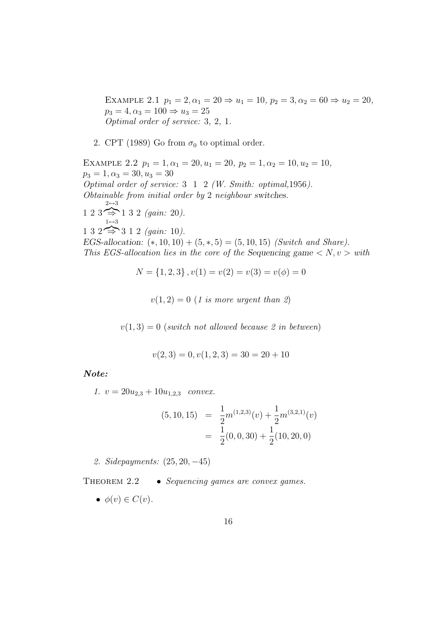EXAMPLE 2.1  $p_1 = 2, \alpha_1 = 20 \Rightarrow u_1 = 10, p_2 = 3, \alpha_2 = 60 \Rightarrow u_2 = 20,$  $p_3 = 4, \alpha_3 = 100 \Rightarrow u_3 = 25$ Optimal order of service: 3, 2, 1.

2. CPT (1989) Go from  $\sigma_0$  to optimal order.

EXAMPLE 2.2  $p_1 = 1, \alpha_1 = 20, u_1 = 20, p_2 = 1, \alpha_2 = 10, u_2 = 10,$  $p_3 = 1, \alpha_3 = 30, u_3 = 30$ Optimal order of service: 3 1 2 (W. Smith: optimal,1956). Obtainable from initial order by 2 neighbour switches.  $1\ 2\ 3 \implies 1\ 3\ 2\ (gain: 20).$  $2 \mbox{ \leftrightarrow } 3$  $1\ 3\ 2 \implies 3\ 1\ 2\ (gain: 10).$  $1 \leftrightarrow 3$ EGS-allocation:  $(*, 10, 10) + (5, *, 5) = (5, 10, 15)$  (Switch and Share). This EGS-allocation lies in the core of the Sequencing game  $\langle N, v \rangle$  with

 $N = \{1, 2, 3\}, v(1) = v(2) = v(3) = v(\phi) = 0$ 

 $v(1, 2) = 0$  (1 is more urgent than 2)

 $v(1, 3) = 0$  (switch not allowed because 2 in between)

$$
v(2,3) = 0, v(1,2,3) = 30 = 20 + 10
$$

Note:

1.  $v = 20u_{2,3} + 10u_{1,2,3}$  convex.

$$
(5, 10, 15) = \frac{1}{2}m^{(1,2,3)}(v) + \frac{1}{2}m^{(3,2,1)}(v)
$$

$$
= \frac{1}{2}(0, 0, 30) + \frac{1}{2}(10, 20, 0)
$$

2. Sidepayments: (25, 20, −45)

THEOREM 2.2 • Sequencing games are convex games.

 $\bullet \phi(v) \in C(v).$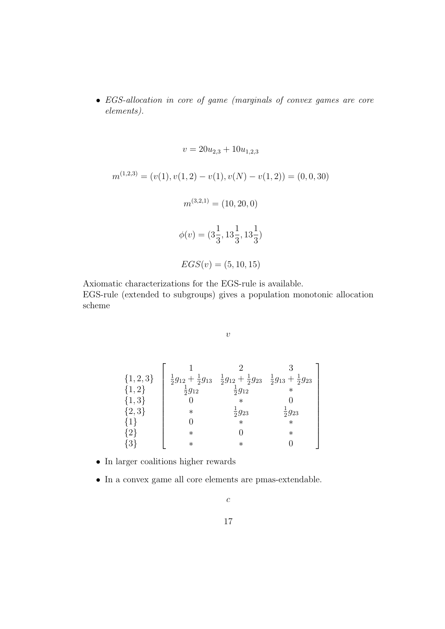• EGS-allocation in core of game (marginals of convex games are core elements).

 $v = 20u_{2,3} + 10u_{1,2,3}$  $m^{(1,2,3)} = (v(1), v(1,2) - v(1), v(N) - v(1,2)) = (0,0,30)$  $m^{(3,2,1)} = (10, 20, 0)$  $\phi(v) = (3\frac{1}{2})$ 3 , 13 1 3 , 13 1 3 )  $EGS(v) = (5, 10, 15)$ 

Axiomatic characterizations for the EGS-rule is available. EGS-rule (extended to subgroups) gives a population monotonic allocation scheme

 $\upsilon$ 

| $\{1, 2, 3\}$     |                     | $\frac{1}{2}g_{12} + \frac{1}{2}g_{13}$ $\frac{1}{2}g_{12} + \frac{1}{2}g_{23}$ $\frac{1}{2}g_{13} + \frac{1}{2}g_{23}$ |                     |
|-------------------|---------------------|-------------------------------------------------------------------------------------------------------------------------|---------------------|
| ${1,2}$           | $\frac{1}{2}g_{12}$ | $\frac{1}{2}g_{12}$                                                                                                     |                     |
| $\{1,3\}$         |                     |                                                                                                                         |                     |
| $\{2,3\}$         | $^\ast$             | $\frac{1}{2}g_{23}$                                                                                                     | $\frac{1}{2}g_{23}$ |
| $\{1\}$           |                     | $\ast$                                                                                                                  | $\ast$              |
| $\{2\}$           | $^\ast$             |                                                                                                                         | $\ast$              |
| $+3$ <sup>t</sup> | $^\ast$             | $^\ast$                                                                                                                 |                     |

- In larger coalitions higher rewards
- In a convex game all core elements are pmas-extendable.

 $\mathcal{C}$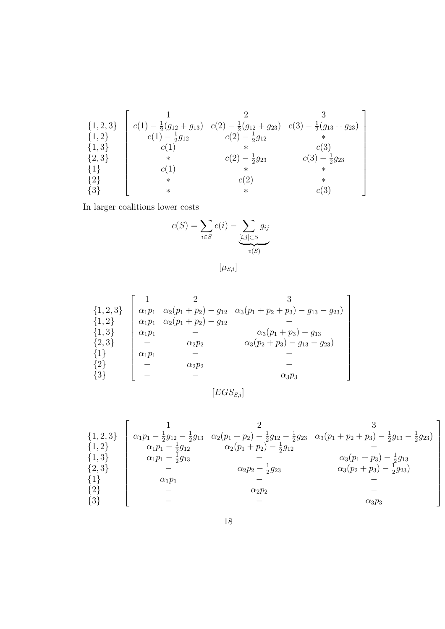{1, 2, 3} {1, 2} {1, 3} {2, 3} {1} {2} {3} 1 2 3 c(1) − 1 2 (g<sup>12</sup> + g13) c(2) − 1 2 (g<sup>12</sup> + g23) c(3) − 1 2 (g<sup>13</sup> + g23) c(1) − 1 2 g<sup>12</sup> c(2) − 1 2 g<sup>12</sup> ∗ c(1) ∗ c(3) ∗ c(2) − 1 2 g<sup>23</sup> c(3) − 1 2 g<sup>23</sup> c(1) ∗ ∗ ∗ c(2) ∗ ∗ ∗ c(3) 

In larger coalitions lower costs

$$
c(S) = \sum_{i \in S} c(i) - \underbrace{\sum_{[i,j] \subset S} g_{ij}}_{v(S)}
$$

 $[\mu_{S,i}]$ 

| $\alpha_2(p_1+p_2)-g_{12}\ \ \alpha_3(p_1+p_2+p_3)-g_{13}-g_{23})$ |                            | $\alpha_1 p_1$ | $\{1, 2, 3\}$ |
|--------------------------------------------------------------------|----------------------------|----------------|---------------|
|                                                                    | $\alpha_2(p_1+p_2)-g_{12}$ | $\alpha_1 p_1$ | $\{1,2\}$     |
| $\alpha_3(p_1+p_3)-g_{13}$                                         |                            | $\alpha_1 p_1$ | $\{1,3\}$     |
| $\alpha_3(p_2+p_3)-g_{13}-g_{23})$                                 | $\alpha_2 p_2$             |                | $\{2,3\}$     |
|                                                                    |                            | $\alpha_1 p_1$ | $\{1\}$       |
|                                                                    | $\alpha_2 p_2$             |                | ${2}$         |
| $\alpha_3 p_3$                                                     |                            |                |               |
|                                                                    |                            |                | ${3}$         |

$$
[EGS_{S,i}]
$$

$$
\begin{array}{c}\n\{1,2,3\} \\
\{1,2\} \\
\{1,3\} \\
\{2,3\} \\
\{1\} \\
\{\begin{array}{ccc}\n1 & 2 \\
\alpha_1 p_1 - \frac{1}{2}g_{12} - \frac{1}{2}g_{13} & \alpha_2(p_1 + p_2) - \frac{1}{2}g_{12} - \frac{1}{2}g_{23} & \alpha_3(p_1 + p_2 + p_3) - \frac{1}{2}g_{13} - \frac{1}{2}g_{23} \\\n\alpha_1 p_1 - \frac{1}{2}g_{13} & - & \alpha_2(p_1 + p_2) - \frac{1}{2}g_{12} & - & \alpha_3(p_1 + p_3) - \frac{1}{2}g_{13} \\\n\alpha_1 p_1 - \frac{1}{2}g_{13} & - & \alpha_3(p_2 + p_3) - \frac{1}{2}g_{13} \\\n\alpha_1 p_1 & - & - & - & - & - \\
\{2\} & - & \alpha_2 p_2 & - & - & \alpha_3 p_3\n\end{array}\n\end{array}
$$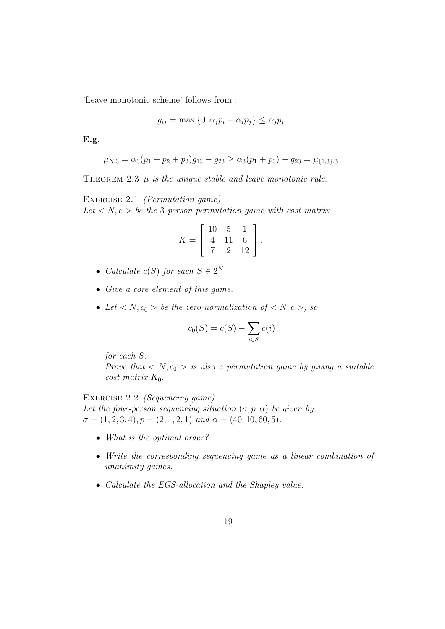'Leave monotonic scheme' follows from :

$$
g_{ij} = \max\left\{0, \alpha_j p_i - \alpha_i p_j\right\} \le \alpha_j p_i
$$

E.g.

$$
\mu_{N,3} = \alpha_3(p_1 + p_2 + p_3)g_{13} - g_{23} \ge \alpha_3(p_1 + p_3) - g_{23} = \mu_{\{1,3\},3}
$$

THEOREM 2.3  $\mu$  is the unique stable and leave monotonic rule.

EXERCISE 2.1 (Permutation game) Let  $\langle N, c \rangle$  be the 3-person permutation game with cost matrix

$$
K = \left[ \begin{array}{rrr} 10 & 5 & 1 \\ 4 & 11 & 6 \\ 7 & 2 & 12 \end{array} \right].
$$

- Calculate  $c(S)$  for each  $S \in 2^N$
- Give a core element of this game.
- Let  $\langle N, c_0 \rangle$  be the zero-normalization of  $\langle N, c \rangle$ , so

$$
c_0(S) = c(S) - \sum_{i \in S} c(i)
$$

for each S.

Prove that  $\langle N,c_0 \rangle$  is also a permutation game by giving a suitable cost matrix  $K_0$ .

EXERCISE 2.2 *(Sequencing game)* Let the four-person sequencing situation  $(\sigma, p, \alpha)$  be given by  $\sigma = (1, 2, 3, 4), p = (2, 1, 2, 1)$  and  $\alpha = (40, 10, 60, 5).$ 

- What is the optimal order?
- Write the corresponding sequencing game as a linear combination of unanimity games.
- Calculate the EGS-allocation and the Shapley value.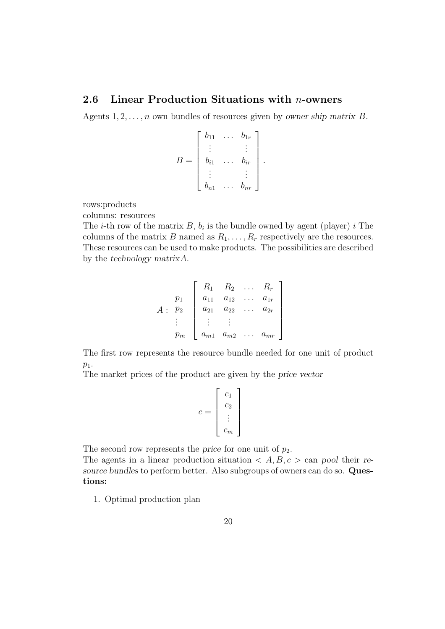## 2.6 Linear Production Situations with n-owners

Agents  $1, 2, \ldots, n$  own bundles of resources given by owner ship matrix B.

$$
B = \begin{bmatrix} b_{11} & \dots & b_{1r} \\ \vdots & & \vdots \\ b_{i1} & \dots & b_{ir} \\ \vdots & & \vdots \\ b_{n1} & \dots & b_{nr} \end{bmatrix}.
$$

rows:products

columns: resources

The *i*-th row of the matrix  $B$ ,  $b_i$  is the bundle owned by agent (player) *i* The columns of the matrix B named as  $R_1, \ldots, R_r$  respectively are the resources. These resources can be used to make products. The possibilities are described by the technology matrixA.

$$
A: \begin{bmatrix} p_1 \\ p_2 \\ \vdots \\ p_m \end{bmatrix} \begin{bmatrix} R_1 & R_2 & \dots & R_r \\ a_{11} & a_{12} & \dots & a_{1r} \\ a_{21} & a_{22} & \dots & a_{2r} \\ \vdots & \vdots & & \vdots \\ a_{m1} & a_{m2} & \dots & a_{mr} \end{bmatrix}
$$

The first row represents the resource bundle needed for one unit of product  $p_1$ .

The market prices of the product are given by the price vector

$$
c = \left[ \begin{array}{c} c_1 \\ c_2 \\ \vdots \\ c_m \end{array} \right]
$$

The second row represents the price for one unit of  $p_2$ .

The agents in a linear production situation  $\langle A, B, c \rangle$  can pool their resource bundles to perform better. Also subgroups of owners can do so. Questions:

1. Optimal production plan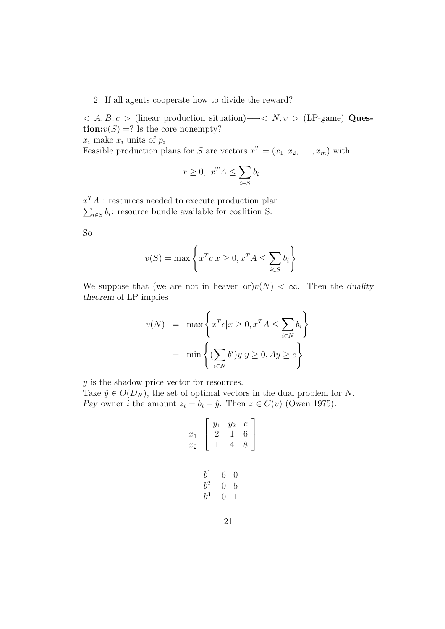#### 2. If all agents cooperate how to divide the reward?

 $\langle A, B, c \rangle$  (linear production situation)  $\rightarrow$   $\langle N, v \rangle$  (LP-game) Ques**tion:** $v(S) = ?$  Is the core nonempty?  $x_i$  make  $x_i$  units of  $p_i$ 

Feasible production plans for S are vectors  $x^T = (x_1, x_2, \dots, x_m)$  with

$$
x \ge 0, \ x^T A \le \sum_{i \in S} b_i
$$

 $x^T A$ : resources needed to execute production plan  $\sum_{i \in S} b_i$ : resource bundle available for coalition S.

So

$$
v(S) = \max\left\{x^T c | x \ge 0, x^T A \le \sum_{i \in S} b_i\right\}
$$

We suppose that (we are not in heaven or) $v(N) < \infty$ . Then the duality theorem of LP implies

$$
v(N) = \max \left\{ x^T c | x \ge 0, x^T A \le \sum_{i \in N} b_i \right\}
$$

$$
= \min \left\{ (\sum_{i \in N} b^i) y | y \ge 0, Ay \ge c \right\}
$$

y is the shadow price vector for resources.

Take  $\hat{y} \in O(D_N)$ , the set of optimal vectors in the dual problem for N. Pay owner *i* the amount  $z_i = b_i - \hat{y}$ . Then  $z \in C(v)$  (Owen 1975).

$$
\begin{array}{ccc}\nx_1 & y_1 & y_2 & c \\
x_2 & 2 & 1 & 6 \\
1 & 4 & 8\n\end{array}
$$
\n
$$
\begin{array}{ccc}\nb^1 & 6 & 0 \\
b^2 & 0 & 5 \\
b^3 & 0 & 1\n\end{array}
$$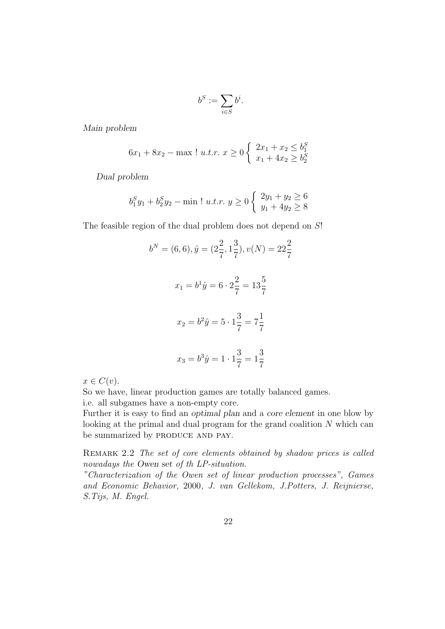$$
b^S:=\sum_{i\in S}b^i.
$$

Main problem

$$
6x_1 + 8x_2 - \max \, \cdot \, u.t. r. \; x \ge 0 \begin{cases} \; 2x_1 + x_2 \le b_1^S \\ \; x_1 + 4x_2 \ge b_2^S \end{cases}
$$

Dual problem

$$
b_1^S y_1 + b_2^S y_2 - \min \mid u.t.r. \ y \ge 0 \begin{cases} 2y_1 + y_2 \ge 6 \\ y_1 + 4y_2 \ge 8 \end{cases}
$$

The feasible region of the dual problem does not depend on  $S!$ 

$$
b^N = (6, 6), \hat{y} = (2\frac{2}{7}, 1\frac{3}{7}), v(N) = 22\frac{2}{7}
$$
  

$$
x_1 = b^1 \hat{y} = 6 \cdot 2\frac{2}{7} = 13\frac{5}{7}
$$
  

$$
x_2 = b^2 \hat{y} = 5 \cdot 1\frac{3}{7} = 7\frac{1}{7}
$$
  

$$
x_3 = b^3 \hat{y} = 1 \cdot 1\frac{3}{7} = 1\frac{3}{7}
$$

 $x \in C(v)$ .

So we have, linear production games are totally balanced games. i.e. all subgames have a non-empty core.

Further it is easy to find an optimal plan and a core element in one blow by looking at the primal and dual program for the grand coalition N which can be summarized by PRODUCE AND PAY.

REMARK 2.2 The set of core elements obtained by shadow prices is called nowadays the Owen set of th LP-situation.

"Characterization of the Owen set of linear production processes", Games and Economic Behavior, 2000, J. van Gellekom, J.Potters, J. Reijnierse, S.Tijs, M. Engel.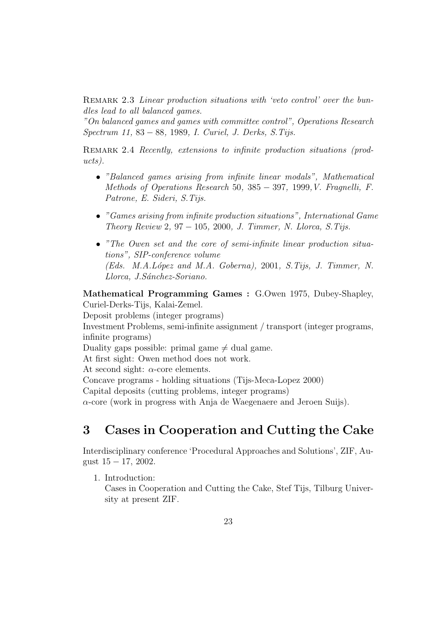REMARK 2.3 Linear production situations with 'veto control' over the bundles lead to all balanced games.

"On balanced games and games with committee control", Operations Research Spectrum 11, 83 − 88, 1989, I. Curiel, J. Derks, S.Tijs.

REMARK 2.4 Recently, extensions to infinite production situations (products).

- "Balanced games arising from infinite linear modals", Mathematical Methods of Operations Research 50, 385 − 397, 1999,V. Fragnelli, F. Patrone, E. Sideri, S.Tijs.
- "Games arising from infinite production situations", International Game Theory Review 2, 97 – 105, 2000, J. Timmer, N. Llorca, S. Tijs.
- "The Owen set and the core of semi-infinite linear production situations", SIP-conference volume (Eds. M.A.López and M.A. Goberna), 2001, S.Tijs, J. Timmer, N. Llorca, J. Sánchez-Soriano.

Mathematical Programming Games : G.Owen 1975, Dubey-Shapley, Curiel-Derks-Tijs, Kalai-Zemel.

Deposit problems (integer programs)

Investment Problems, semi-infinite assignment / transport (integer programs, infinite programs)

Duality gaps possible: primal game  $\neq$  dual game.

At first sight: Owen method does not work.

At second sight:  $\alpha$ -core elements.

Concave programs - holding situations (Tijs-Meca-Lopez 2000)

Capital deposits (cutting problems, integer programs)

 $\alpha$ -core (work in progress with Anja de Waegenaere and Jeroen Suijs).

# 3 Cases in Cooperation and Cutting the Cake

Interdisciplinary conference 'Procedural Approaches and Solutions', ZIF, August 15 − 17, 2002.

1. Introduction:

Cases in Cooperation and Cutting the Cake, Stef Tijs, Tilburg University at present ZIF.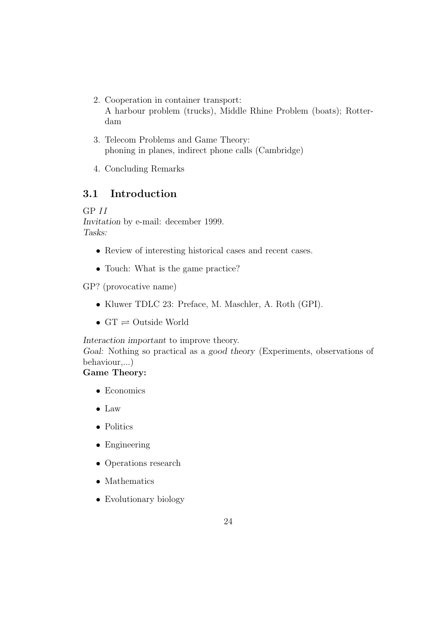- 2. Cooperation in container transport: A harbour problem (trucks), Middle Rhine Problem (boats); Rotterdam
- 3. Telecom Problems and Game Theory: phoning in planes, indirect phone calls (Cambridge)
- 4. Concluding Remarks

# 3.1 Introduction

GP II Invitation by e-mail: december 1999. Tasks:

- Review of interesting historical cases and recent cases.
- Touch: What is the game practice?

GP? (provocative name)

- Kluwer TDLC 23: Preface, M. Maschler, A. Roth (GPI).
- $GT \rightleftharpoons$  Outside World

Interaction important to improve theory.

Goal: Nothing so practical as a good theory (Experiments, observations of behaviour,...)

# Game Theory:

- Economics
- Law
- Politics
- Engineering
- Operations research
- Mathematics
- Evolutionary biology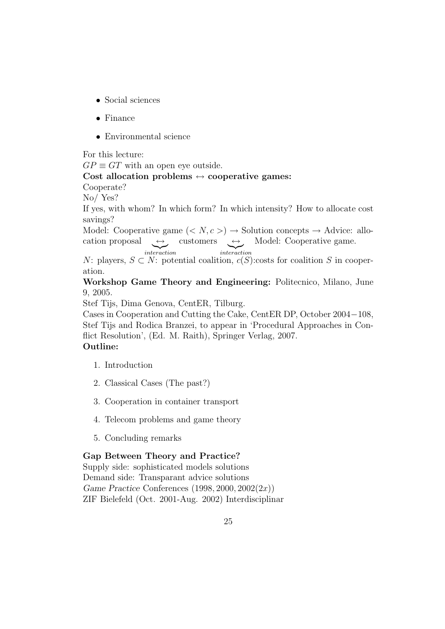- Social sciences
- Finance
- Environmental science

For this lecture:

 $GP \equiv GT$  with an open eye outside.

#### Cost allocation problems  $\leftrightarrow$  cooperative games:

Cooperate?

No/ Yes?

If yes, with whom? In which form? In which intensity? How to allocate cost savings?

Model: Cooperative game  $( $N, c >$ )  $\rightarrow$  Solution concepts  $\rightarrow$  Advice: allo$ cation proposal  $\overbrace{interaction}$  $\overbrace{\hspace{1cm}\textit{interaction}}^{\textit{customers}}$ Model: Cooperative game.

N: players,  $S \subset N$ : potential coalition,  $c(S)$ :costs for coalition S in cooperation.

Workshop Game Theory and Engineering: Politecnico, Milano, June 9, 2005.

Stef Tijs, Dima Genova, CentER, Tilburg.

Cases in Cooperation and Cutting the Cake, CentER DP, October 2004−108, Stef Tijs and Rodica Branzei, to appear in 'Procedural Approaches in Conflict Resolution', (Ed. M. Raith), Springer Verlag, 2007. Outline:

- 1. Introduction
- 2. Classical Cases (The past?)
- 3. Cooperation in container transport
- 4. Telecom problems and game theory
- 5. Concluding remarks

#### Gap Between Theory and Practice?

Supply side: sophisticated models solutions Demand side: Transparant advice solutions Game Practice Conferences  $(1998, 2000, 2002(2x))$ ZIF Bielefeld (Oct. 2001-Aug. 2002) Interdisciplinar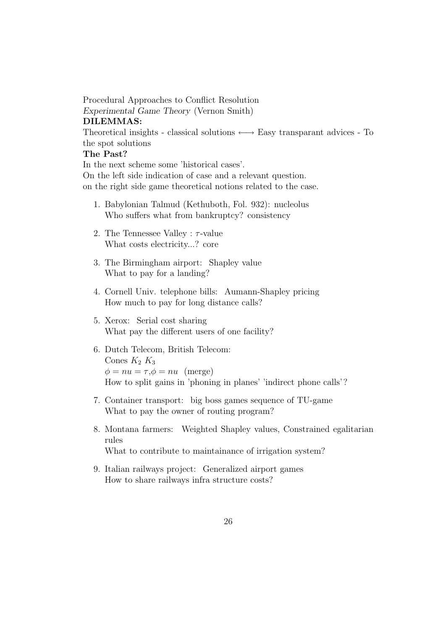Procedural Approaches to Conflict Resolution Experimental Game Theory (Vernon Smith) DILEMMAS: Theoretical insights - classical solutions  $\longleftrightarrow$  Easy transparant advices - To the spot solutions The Past?

In the next scheme some 'historical cases'. On the left side indication of case and a relevant question. on the right side game theoretical notions related to the case.

- 1. Babylonian Talmud (Kethuboth, Fol. 932): nucleolus Who suffers what from bankruptcy? consistency
- 2. The Tennessee Valley :  $\tau$ -value What costs electricity...? core
- 3. The Birmingham airport: Shapley value What to pay for a landing?
- 4. Cornell Univ. telephone bills: Aumann-Shapley pricing How much to pay for long distance calls?
- 5. Xerox: Serial cost sharing What pay the different users of one facility?
- 6. Dutch Telecom, British Telecom: Cones  $K_2 K_3$  $\phi = nu = \tau, \phi = nu$  (merge) How to split gains in 'phoning in planes' 'indirect phone calls'?
- 7. Container transport: big boss games sequence of TU-game What to pay the owner of routing program?
- 8. Montana farmers: Weighted Shapley values, Constrained egalitarian rules What to contribute to maintainance of irrigation system?
- 9. Italian railways project: Generalized airport games How to share railways infra structure costs?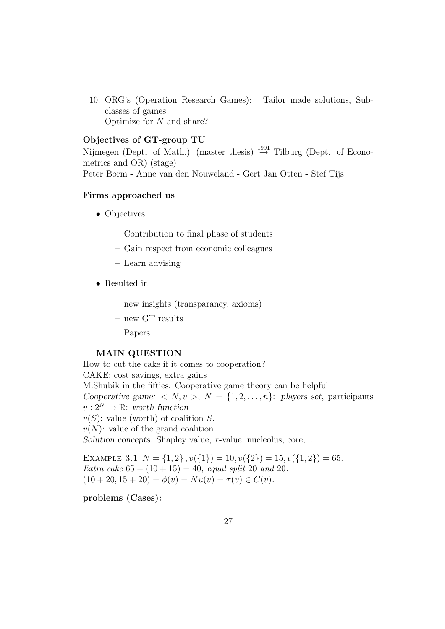10. ORG's (Operation Research Games): Tailor made solutions, Subclasses of games Optimize for N and share?

#### Objectives of GT-group TU

Nijmegen (Dept. of Math.) (master thesis)  $\stackrel{1991}{\rightarrow}$  Tilburg (Dept. of Econometrics and OR) (stage) Peter Borm - Anne van den Nouweland - Gert Jan Otten - Stef Tijs

#### Firms approached us

- Objectives
	- Contribution to final phase of students
	- Gain respect from economic colleagues
	- Learn advising
- Resulted in
	- new insights (transparancy, axioms)
	- new GT results
	- Papers

#### MAIN QUESTION

How to cut the cake if it comes to cooperation? CAKE: cost savings, extra gains M.Shubik in the fifties: Cooperative game theory can be helpful Cooperative game:  $\langle N, v \rangle, N = \{1, 2, ..., n\}$ : players set, participants  $v: 2^N \to \mathbb{R}$ : worth function  $v(S)$ : value (worth) of coalition S.  $v(N)$ : value of the grand coalition. Solution concepts: Shapley value,  $\tau$ -value, nucleolus, core, ...

EXAMPLE 3.1  $N = \{1, 2\}$ ,  $v(\{1\}) = 10$ ,  $v(\{2\}) = 15$ ,  $v(\{1, 2\}) = 65$ . Extra cake  $65 - (10 + 15) = 40$ , equal split 20 and 20.  $(10 + 20, 15 + 20) = \phi(v) = Nu(v) = \tau(v) \in C(v).$ 

### problems (Cases):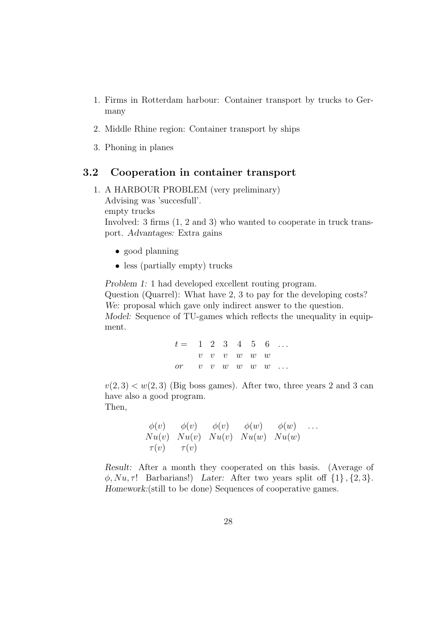- 1. Firms in Rotterdam harbour: Container transport by trucks to Germany
- 2. Middle Rhine region: Container transport by ships
- 3. Phoning in planes

# 3.2 Cooperation in container transport

- 1. A HARBOUR PROBLEM (very preliminary) Advising was 'succesfull'. empty trucks Involved: 3 firms (1, 2 and 3) who wanted to cooperate in truck transport. Advantages: Extra gains
	- good planning
	- less (partially empty) trucks

Problem 1: 1 had developed excellent routing program. Question (Quarrel): What have 2, 3 to pay for the developing costs? We: proposal which gave only indirect answer to the question. Model: Sequence of TU-games which reflects the unequality in equipment.

| $t = 1 \t 2 \t 3 \t 4 \t 5 \t 6 \t $ |  |  |                         |  |
|--------------------------------------|--|--|-------------------------|--|
|                                      |  |  | $v$ $v$ $v$ $w$ $w$ $w$ |  |
| or $v$ v $w$ $w$ $w$ $w$ $$          |  |  |                         |  |

 $v(2, 3) < w(2, 3)$  (Big boss games). After two, three years 2 and 3 can have also a good program. Then,

$$
\begin{array}{llll}\n\phi(v) & \phi(v) & \phi(v) & \phi(w) & \phi(w) & \dots \\
Nu(v) & Nu(v) & Nu(v) & Nu(w) & Nu(w) & Nu(w) \\
\tau(v) & \tau(v)\n\end{array}
$$

Result: After a month they cooperated on this basis. (Average of  $\phi, Nu, \tau$ ! Barbarians!) Later: After two years split off  $\{1\}$ ,  $\{2, 3\}$ . Homework:(still to be done) Sequences of cooperative games.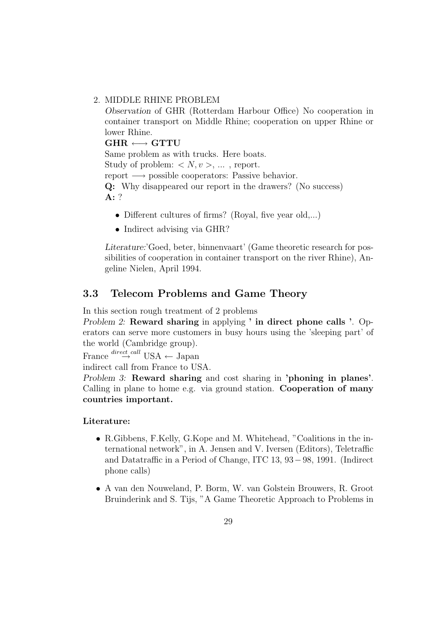#### 2. MIDDLE RHINE PROBLEM

Observation of GHR (Rotterdam Harbour Office) No cooperation in container transport on Middle Rhine; cooperation on upper Rhine or lower Rhine.

 $\text{GHR} \longleftrightarrow \text{GTTU}$ Same problem as with trucks. Here boats. Study of problem:  $\langle N, v \rangle$ , ..., report. report  $\longrightarrow$  possible cooperators: Passive behavior. Q: Why disappeared our report in the drawers? (No success) A: ?

- Different cultures of firms? (Royal, five year old,...)
- Indirect advising via GHR?

Literature:'Goed, beter, binnenvaart' (Game theoretic research for possibilities of cooperation in container transport on the river Rhine), Angeline Nielen, April 1994.

# 3.3 Telecom Problems and Game Theory

In this section rough treatment of 2 problems

Problem 2: Reward sharing in applying ' in direct phone calls '. Operators can serve more customers in busy hours using the 'sleeping part' of the world (Cambridge group).

France  $\stackrel{direct \, call}{\rightarrow}$  USA ← Japan

indirect call from France to USA.

Problem 3: Reward sharing and cost sharing in 'phoning in planes'. Calling in plane to home e.g. via ground station. Cooperation of many countries important.

#### Literature:

- R.Gibbens, F.Kelly, G.Kope and M. Whitehead, "Coalitions in the international network", in A. Jensen and V. Iversen (Editors), Teletraffic and Datatraffic in a Period of Change, ITC 13, 93−98, 1991. (Indirect phone calls)
- A van den Nouweland, P. Borm, W. van Golstein Brouwers, R. Groot Bruinderink and S. Tijs, "A Game Theoretic Approach to Problems in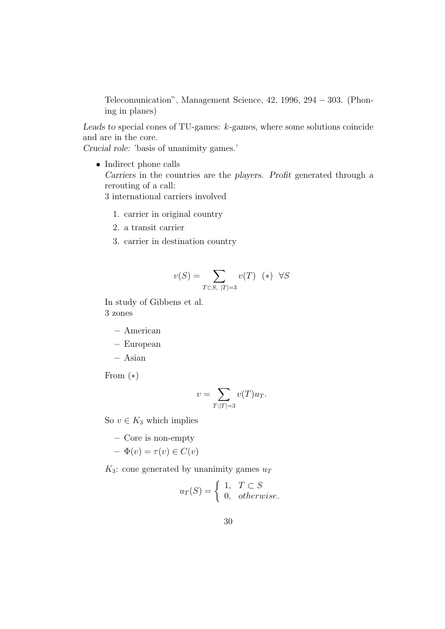Telecomunication", Management Science, 42, 1996, 294 − 303. (Phoning in planes)

Leads to special cones of TU-games: k-games, where some solutions coincide and are in the core.

Crucial role: 'basis of unanimity games.'

- Indirect phone calls Carriers in the countries are the players. Profit generated through a rerouting of a call: 3 international carriers involved
	- 1. carrier in original country
	- 2. a transit carrier
	- 3. carrier in destination country

$$
v(S) = \sum_{T \subset S, |T| = 3} v(T) \quad (*) \quad \forall S
$$

In study of Gibbens et al. 3 zones

- American
- European
- Asian

From  $(*)$ 

$$
v = \sum_{T:|T|=3} v(T)u_T.
$$

So  $v \in K_3$  which implies

– Core is non-empty

$$
- \Phi(v) = \tau(v) \in C(v)
$$

 $K_3$ : cone generated by unanimity games  $u_T$ 

$$
u_T(S) = \begin{cases} 1, & T \subset S \\ 0, & otherwise. \end{cases}
$$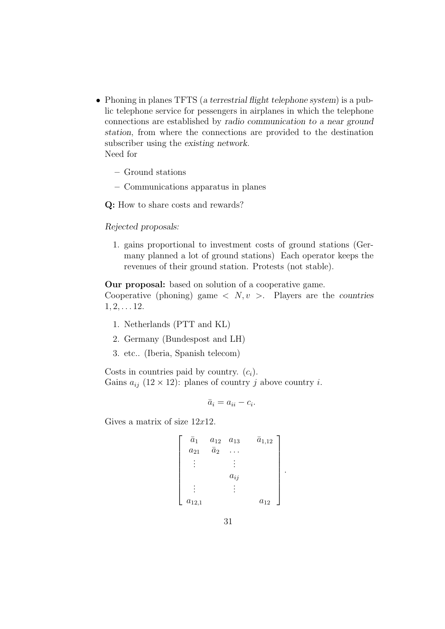- Phoning in planes TFTS (a terrestrial flight telephone system) is a public telephone service for pessengers in airplanes in which the telephone connections are established by radio communication to a near ground station, from where the connections are provided to the destination subscriber using the existing network. Need for
	- Ground stations
	- Communications apparatus in planes

Q: How to share costs and rewards?

Rejected proposals:

1. gains proportional to investment costs of ground stations (Germany planned a lot of ground stations) Each operator keeps the revenues of their ground station. Protests (not stable).

Our proposal: based on solution of a cooperative game.

Cooperative (phoning) game  $\langle N, v \rangle$ . Players are the countries  $1, 2, \ldots 12.$ 

- 1. Netherlands (PTT and KL)
- 2. Germany (Bundespost and LH)
- 3. etc.. (Iberia, Spanish telecom)

Costs in countries paid by country.  $(c_i)$ . Gains  $a_{ij}$  (12 × 12): planes of country j above country i.

$$
\bar{a}_i = a_{ii} - c_i.
$$

Gives a matrix of size  $12x12$ .

$$
\begin{bmatrix} \bar{a}_1 & a_{12} & a_{13} & \bar{a}_{1,12} \\ a_{21} & \bar{a}_2 & \dots & \\ \vdots & \vdots & \\ a_{ij} & \\ a_{12,1} & & a_{12} \end{bmatrix}.
$$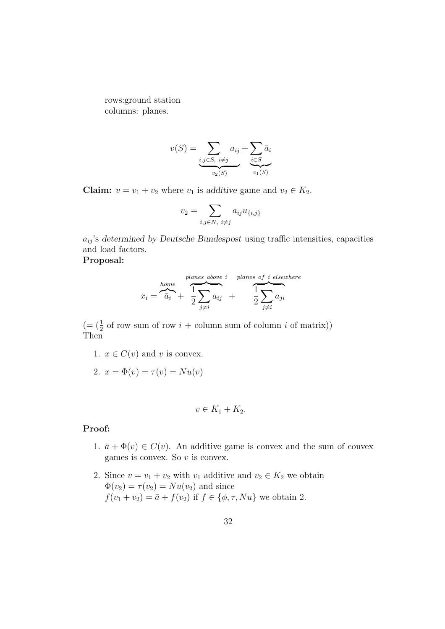rows:ground station columns: planes.

$$
v(S) = \underbrace{\sum_{i,j \in S, \ i \neq j} a_{ij}}_{v_2(S)} + \underbrace{\sum_{i \in S} \bar{a}_i}_{v_1(S)}
$$

**Claim:**  $v = v_1 + v_2$  where  $v_1$  is additive game and  $v_2 \in K_2$ .

$$
v_2 = \sum_{i,j \in N, i \neq j} a_{ij} u_{\{i,j\}}
$$

 $a_{ij}$ 's determined by Deutsche Bundespost using traffic intensities, capacities and load factors.

### Proposal:

$$
x_i = \overbrace{\bar{a}_i}^{\text{home}} + \overbrace{\frac{1}{2} \sum_{j \neq i} a_{ij}}^{\text{planes above } i} + \overbrace{\frac{1}{2} \sum_{j \neq i} a_{ji}}^{\text{planes of } i \text{ elsewhere}}
$$

 $(=(\frac{1}{2} \text{ of row sum of row } i + \text{column sum of column } i \text{ of matrix}))$ Then

- 1.  $x \in C(v)$  and v is convex.
- 2.  $x = \Phi(v) = \tau(v) = Nu(v)$

$$
v \in K_1 + K_2.
$$

#### Proof:

- 1.  $\bar{a} + \Phi(v) \in C(v)$ . An additive game is convex and the sum of convex games is convex. So  $v$  is convex.
- 2. Since  $v = v_1 + v_2$  with  $v_1$  additive and  $v_2 \in K_2$  we obtain  $\Phi(v_2) = \tau(v_2) = Nu(v_2)$  and since  $f(v_1 + v_2) = \overline{a} + f(v_2)$  if  $f \in {\emptyset, \tau, Nu}$  we obtain 2.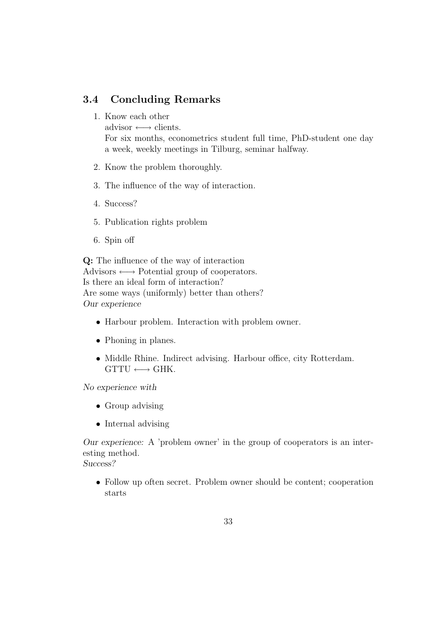# 3.4 Concluding Remarks

1. Know each other

advisor  $\longleftrightarrow$  clients.

For six months, econometrics student full time, PhD-student one day a week, weekly meetings in Tilburg, seminar halfway.

- 2. Know the problem thoroughly.
- 3. The influence of the way of interaction.
- 4. Success?
- 5. Publication rights problem
- 6. Spin off

Q: The influence of the way of interaction Advisors  $\longleftrightarrow$  Potential group of cooperators. Is there an ideal form of interaction? Are some ways (uniformly) better than others? Our experience

- Harbour problem. Interaction with problem owner.
- Phoning in planes.
- Middle Rhine. Indirect advising. Harbour office, city Rotterdam.  $GTTU \longleftrightarrow GHK$ .

No experience with

- Group advising
- Internal advising

Our experience: A 'problem owner' in the group of cooperators is an interesting method.

Success?

• Follow up often secret. Problem owner should be content; cooperation starts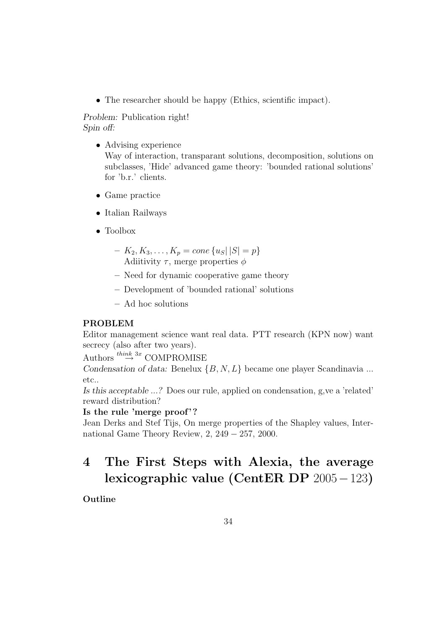• The researcher should be happy (Ethics, scientific impact).

Problem: Publication right! Spin off:

- Advising experience Way of interaction, transparant solutions, decomposition, solutions on subclasses, 'Hide' advanced game theory: 'bounded rational solutions' for 'b.r.' clients.
- Game practice
- Italian Railways
- Toolbox
	- $K_2, K_3, \ldots, K_p = cone \{ u_S | |S| = p \}$ Adiitivity  $\tau$ , merge properties  $\phi$
	- Need for dynamic cooperative game theory
	- Development of 'bounded rational' solutions
	- Ad hoc solutions

# PROBLEM

Editor management science want real data. PTT research (KPN now) want secrecy (also after two years).

Authors  $\stackrel{think}{\rightarrow}$ <sup>3x</sup> COMPROMISE

Condensation of data: Benelux  $\{B, N, L\}$  became one player Scandinavia ... etc..

Is this acceptable ...? Does our rule, applied on condensation, g,ve a 'related' reward distribution?

#### Is the rule 'merge proof'?

Jean Derks and Stef Tijs, On merge properties of the Shapley values, International Game Theory Review, 2, 249 − 257, 2000.

# 4 The First Steps with Alexia, the average lexicographic value (CentER DP 2005−123)

Outline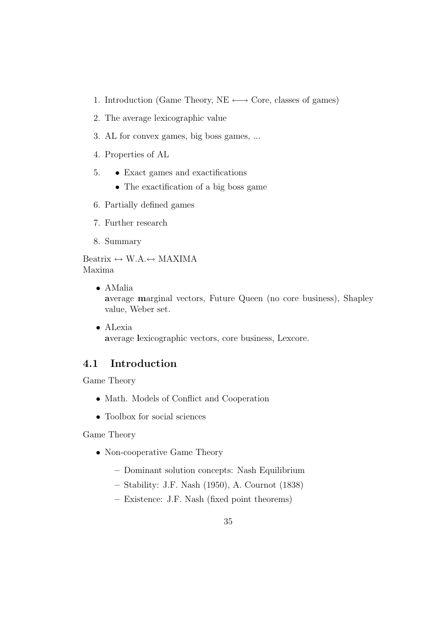- 1. Introduction (Game Theory, NE  $\longleftrightarrow$  Core, classes of games)
- 2. The average lexicographic value
- 3. AL for convex games, big boss games, ...
- 4. Properties of AL
- 5. Exact games and exactifications
	- The exactification of a big boss game
- 6. Partially defined games
- 7. Further research
- 8. Summary

Beatrix  $\leftrightarrow$  W.A. $\leftrightarrow$  MAXIMA Maxima

- AMalia average marginal vectors, Future Queen (no core business), Shapley value, Weber set.
- ALexia average lexicographic vectors, core business, Lexcore.

# 4.1 Introduction

Game Theory

- Math. Models of Conflict and Cooperation
- Toolbox for social sciences

Game Theory

- Non-cooperative Game Theory
	- Dominant solution concepts: Nash Equilibrium
	- Stability: J.F. Nash (1950), A. Cournot (1838)
	- Existence: J.F. Nash (fixed point theorems)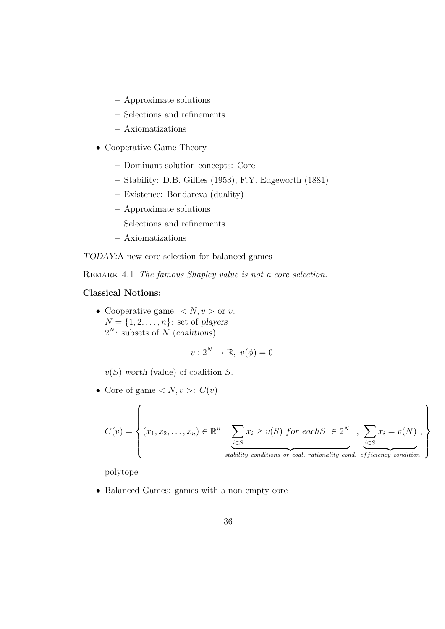- Approximate solutions
- Selections and refinements
- Axiomatizations
- Cooperative Game Theory
	- Dominant solution concepts: Core
	- Stability: D.B. Gillies (1953), F.Y. Edgeworth (1881)
	- Existence: Bondareva (duality)
	- Approximate solutions
	- Selections and refinements
	- Axiomatizations

TODAY:A new core selection for balanced games

REMARK 4.1 The famous Shapley value is not a core selection.

#### Classical Notions:

• Cooperative game:  $\langle N, v \rangle$  or v.  $N = \{1, 2, \ldots, n\}$ : set of players  $2^N$ : subsets of N (coalitions)

$$
v: 2^N \to \mathbb{R}, \ v(\phi) = 0
$$

 $v(S)$  worth (value) of coalition S.

• Core of game  $\langle N, v \rangle$ :  $C(v)$ 

$$
C(v) = \left\{ (x_1, x_2, \dots, x_n) \in \mathbb{R}^n \mid \sum_{\substack{i \in S \\ \text{stability conditions or coal. rationality cond.}\}} x_i \geq v(S) \text{ for each } S \in 2^N, \sum_{\substack{i \in S \\ \text{efficiency condition}}} x_i = v(N) \right\}
$$

stability conditions or coal. rationality cond. efficiency condition

polytope

• Balanced Games: games with a non-empty core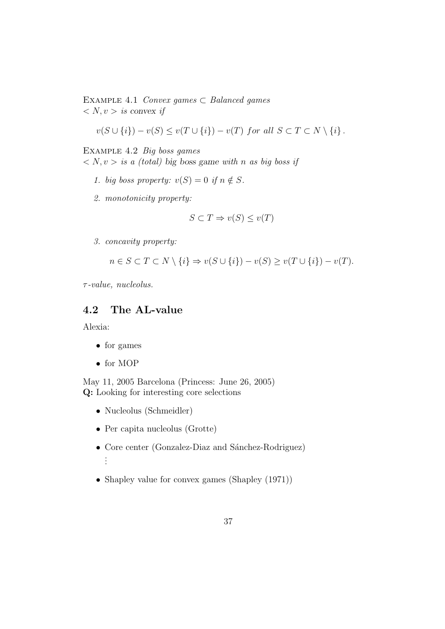EXAMPLE 4.1 Convex games  $\subset$  Balanced games  $\langle N, v \rangle$  is convex if

$$
v(S \cup \{i\}) - v(S) \le v(T \cup \{i\}) - v(T) \text{ for all } S \subset T \subset N \setminus \{i\}.
$$

Example 4.2 Big boss games

 $\langle N, v \rangle$  is a (total) big boss game with n as big boss if

- 1. big boss property:  $v(S) = 0$  if  $n \notin S$ .
- 2. monotonicity property:

$$
S \subset T \Rightarrow v(S) \le v(T)
$$

3. concavity property:

$$
n \in S \subset T \subset N \setminus \{i\} \Rightarrow v(S \cup \{i\}) - v(S) \ge v(T \cup \{i\}) - v(T).
$$

 $\tau$ -value, nucleolus.

# 4.2 The AL-value

Alexia:

- for games
- for MOP

May 11, 2005 Barcelona (Princess: June 26, 2005) Q: Looking for interesting core selections

- Nucleolus (Schmeidler)
- Per capita nucleolus (Grotte)
- Core center (Gonzalez-Diaz and Sánchez-Rodriguez) . . .
- Shapley value for convex games (Shapley (1971))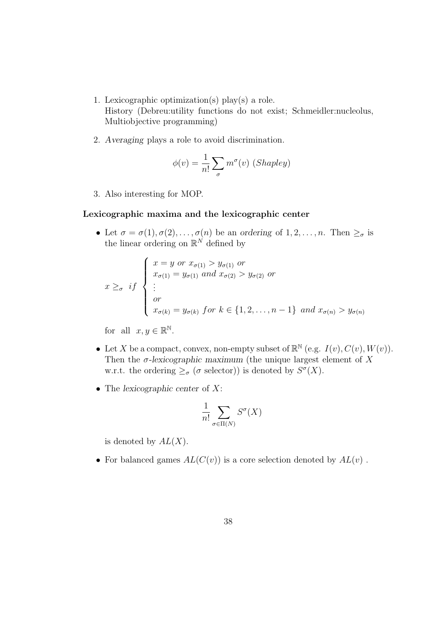- 1. Lexicographic optimization(s) play(s) a role. History (Debreu:utility functions do not exist; Schmeidler:nucleolus, Multiobjective programming)
- 2. Averaging plays a role to avoid discrimination.

$$
\phi(v) = \frac{1}{n!} \sum_{\sigma} m^{\sigma}(v) \ (Shapley)
$$

3. Also interesting for MOP.

#### Lexicographic maxima and the lexicographic center

• Let  $\sigma = \sigma(1), \sigma(2), \ldots, \sigma(n)$  be an ordering of  $1, 2, \ldots, n$ . Then  $\geq_{\sigma}$  is the linear ordering on  $\mathbb{R}^N$  defined by

$$
x \geq_{\sigma} if \begin{cases} x = y \text{ or } x_{\sigma(1)} > y_{\sigma(1)} \text{ or} \\ x_{\sigma(1)} = y_{\sigma(1)} \text{ and } x_{\sigma(2)} > y_{\sigma(2)} \text{ or} \\ \vdots \\ \text{or} \\ x_{\sigma(k)} = y_{\sigma(k)} \text{ for } k \in \{1, 2, \dots, n-1\} \text{ and } x_{\sigma(n)} > y_{\sigma(n)} \end{cases}
$$

for all  $x, y \in \mathbb{R}^{\mathbb{N}}$ .

- Let X be a compact, convex, non-empty subset of  $\mathbb{R}^{\mathbb{N}}$  (e.g.  $I(v), C(v), W(v)$ ). Then the  $\sigma$ -lexicographic maximum (the unique largest element of X w.r.t. the ordering  $\geq_{\sigma} (\sigma \text{ selector})$  is denoted by  $S^{\sigma}(X)$ .
- The lexicographic center of  $X$ :

$$
\frac{1}{n!} \sum_{\sigma \in \Pi(N)} S^{\sigma}(X)
$$

is denoted by  $AL(X)$ .

• For balanced games  $AL(C(v))$  is a core selection denoted by  $AL(v)$ .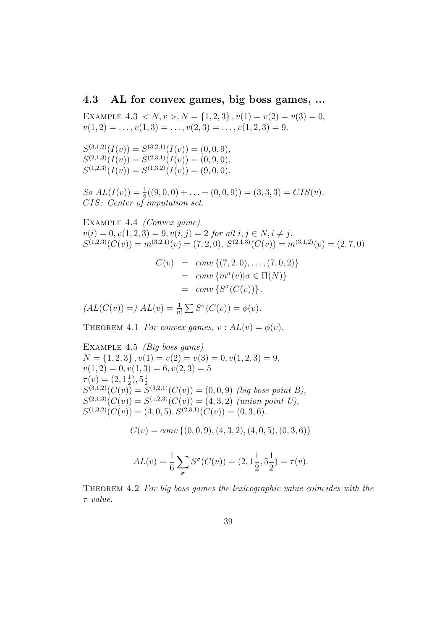#### 4.3 AL for convex games, big boss games, ...

EXAMPLE  $4.3 < N, v > N = \{1, 2, 3\}, v(1) = v(2) = v(3) = 0,$  $v(1, 2) = \ldots, v(1, 3) = \ldots, v(2, 3) = \ldots, v(1, 2, 3) = 9.$ 

 $S^{(3,1,2)}(I(v)) = S^{(3,2,1)}(I(v)) = (0,0,9),$  $S^{(2,1,3)}(I(v)) = S^{(2,3,1)}(I(v)) = (0,9,0),$  $S^{(1,2,3)}(I(v)) = S^{(1,3,2)}(I(v)) = (9,0,0).$ 

So  $AL(I(v)) = \frac{1}{6}((9,0,0) + \ldots + (0,0,9)) = (3,3,3) = CIS(v).$ CIS: Center of imputation set.

EXAMPLE 4.4 *(Convex game)*  $v(i) = 0, v(1, 2, 3) = 9, v(i, j) = 2$  for all  $i, j \in N, i \neq j$ .  $S^{(1,2,3)}(C(v)) = m^{(3,2,1)}(v) = (7,2,0), S^{(2,1,3)}(C(v)) = m^{(3,1,2)}(v) = (2,7,0)$ 

$$
C(v) = conv \{ (7, 2, 0), \dots, (7, 0, 2) \}
$$
  
= conv \{ m<sup>σ</sup>(v) | σ ∈ Π(N) \}  
= conv \{ S<sup>σ</sup>(C(v)) \}.

 $AL(C(v)) =) AL(v) = \frac{1}{n!} \sum S^{\sigma}(C(v)) = \phi(v).$ 

THEOREM 4.1 For convex games,  $v : AL(v) = \phi(v)$ .

EXAMPLE 4.5 *(Big boss game)*  $N = \{1, 2, 3\}, v(1) = v(2) = v(3) = 0, v(1, 2, 3) = 9,$  $v(1, 2) = 0, v(1, 3) = 6, v(2, 3) = 5$  $\tau(v) = (2, 1\frac{1}{2}), 5\frac{1}{2}$  $S^{(3,1,2)}(C(v)) = S^{(3,2,1)}(C(v)) = (0,0,9)$  (big boss point B),  $S^{(2,1,3)}(C(v)) = S^{(1,2,3)}(C(v)) = (4,3,2)$  (union point U),  $S^{(1,3,2)}(C(v)) = (4,0,5), S^{(2,3,1)}(C(v)) = (0,3,6).$ 

 $C(v) = conv \{(0, 0, 9), (4, 3, 2), (4, 0, 5), (0, 3, 6)\}$ 

$$
AL(v) = \frac{1}{6} \sum_{\sigma} S^{\sigma}(C(v)) = (2, 1\frac{1}{2}, 5\frac{1}{2}) = \tau(v).
$$

Theorem 4.2 For big boss games the lexicographic value coincides with the  $\tau$ -value.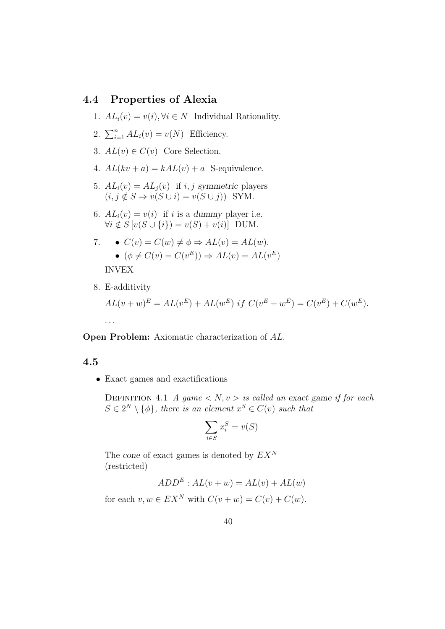## 4.4 Properties of Alexia

1.  $AL_i(v) = v(i), \forall i \in N$  Individual Rationality.

2. 
$$
\sum_{i=1}^{n} AL_i(v) = v(N)
$$
 Efficiency.

- 3.  $AL(v) \in C(v)$  Core Selection.
- 4.  $AL(kv + a) = kAL(v) + a$  S-equivalence.
- 5.  $AL_i(v) = AL_j(v)$  if i, j symmetric players  $(i, j \notin S \Rightarrow v(S \cup i) = v(S \cup j))$  SYM.
- 6.  $AL_i(v) = v(i)$  if i is a dummy player i.e.  $\forall i \notin S$   $[v(S \cup \{i\}) = v(S) + v(i)]$  DUM.

7. 
$$
\bullet
$$
  $C(v) = C(w) \neq \phi \Rightarrow AL(v) = AL(w).$   
\n $\bullet$   $(\phi \neq C(v) = C(v^E)) \Rightarrow AL(v) = AL(v^E)$   
\n**INVEX**

8. E-additivity

$$
AL(v + w)^{E} = AL(v^{E}) + AL(w^{E}) \text{ if } C(v^{E} + w^{E}) = C(v^{E}) + C(w^{E}).
$$
  
...

Open Problem: Axiomatic characterization of AL.

## 4.5

• Exact games and exactifications

DEFINITION 4.1 A game  $\langle N, v \rangle$  is called an exact game if for each  $S \in 2^N \setminus \{\phi\}$ , there is an element  $x^S \in C(v)$  such that

$$
\sum_{i \in S} x_i^S = v(S)
$$

The cone of exact games is denoted by  $EX^N$ (restricted)

$$
ADD^E : AL(v + w) = AL(v) + AL(w)
$$

for each  $v, w \in EX^N$  with  $C(v + w) = C(v) + C(w)$ .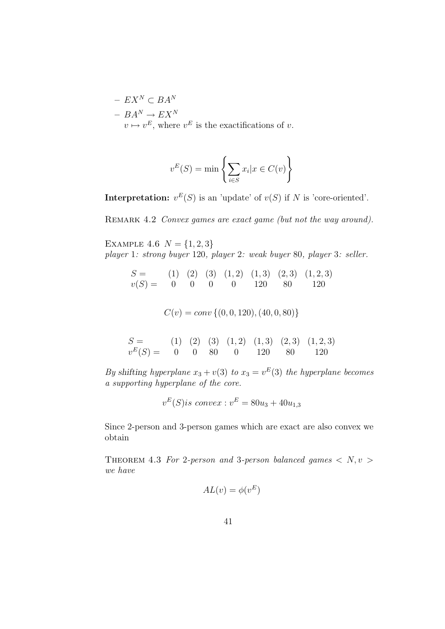$-$  EX<sup>N</sup> ⊂ BA<sup>N</sup>  $- B A^N \rightarrow E X^N$  $v \mapsto v^E$ , where  $v^E$  is the exactifications of v.

$$
v^{E}(S) = \min \left\{ \sum_{i \in S} x_{i} | x \in C(v) \right\}
$$

**Interpretation:**  $v^E(S)$  is an 'update' of  $v(S)$  if N is 'core-oriented'.

REMARK 4.2 Convex games are exact game (but not the way around).

EXAMPLE 4.6  $N = \{1, 2, 3\}$ player 1: strong buyer 120, player 2: weak buyer 80, player 3: seller.

$$
S = (1) (2) (3) (1,2) (1,3) (2,3) (1,2,3)
$$
  

$$
v(S) = 0 0 0 0 120 80 120
$$

 $C(v) = conv \{(0, 0, 120), (40, 0, 80)\}\$ 

$$
S = (1) (2) (3) (1,2) (1,3) (2,3) (1,2,3)
$$
  

$$
v^{E}(S) = 0 0 80 0 120 80 120
$$

By shifting hyperplane  $x_3 + v(3)$  to  $x_3 = v<sup>E</sup>(3)$  the hyperplane becomes a supporting hyperplane of the core.

$$
v^{E}(S) is \ convex : v^{E} = 80u_3 + 40u_{1,3}
$$

Since 2-person and 3-person games which are exact are also convex we obtain

THEOREM 4.3 For 2-person and 3-person balanced games  $\langle N, v \rangle$ we have

$$
AL(v) = \phi(v^E)
$$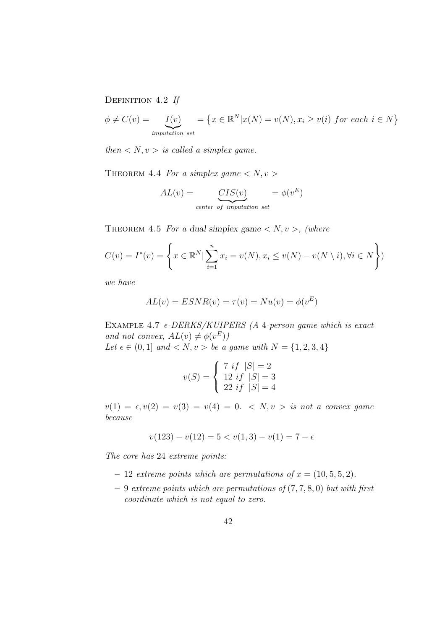DEFINITION 4.2 If

$$
\phi \neq C(v) = \underbrace{I(v)}_{\text{imputation set}} = \left\{ x \in \mathbb{R}^N | x(N) = v(N), x_i \ge v(i) \text{ for each } i \in N \right\}
$$

then  $\langle N, v \rangle$  is called a simplex game.

THEOREM 4.4 For a simplex game  $\langle N, v \rangle$ 

$$
AL(v) = \underbrace{CIS(v)}_{center\ of\ imputation\ set} = \phi(v^E)
$$

THEOREM 4.5 For a dual simplex game  $\langle N, v \rangle$ , (where

$$
C(v) = I^*(v) = \left\{ x \in \mathbb{R}^N \mid \sum_{i=1}^n x_i = v(N), x_i \le v(N) - v(N \setminus i), \forall i \in N \right\}
$$

we have

$$
AL(v) = ESNR(v) = \tau(v) = Nu(v) = \phi(v^E)
$$

EXAMPLE 4.7  $\epsilon$ -DERKS/KUIPERS (A 4-person game which is exact and not convex,  $AL(v) \neq \phi(v^E)$ Let  $\epsilon \in (0, 1]$  and  $\langle N, v \rangle$  be a game with  $N = \{1, 2, 3, 4\}$ 

$$
v(S) = \begin{cases} 7 \; if \; |S| = 2 \\ 12 \; if \; |S| = 3 \\ 22 \; if \; |S| = 4 \end{cases}
$$

 $v(1) = \epsilon, v(2) = v(3) = v(4) = 0. \langle N, v \rangle$  is not a convex game because

$$
v(123) - v(12) = 5 < v(1,3) - v(1) = 7 - \epsilon
$$

The core has 24 extreme points:

- 12 extreme points which are permutations of  $x = (10, 5, 5, 2)$ .
- $-9$  extreme points which are permutations of  $(7, 7, 8, 0)$  but with first coordinate which is not equal to zero.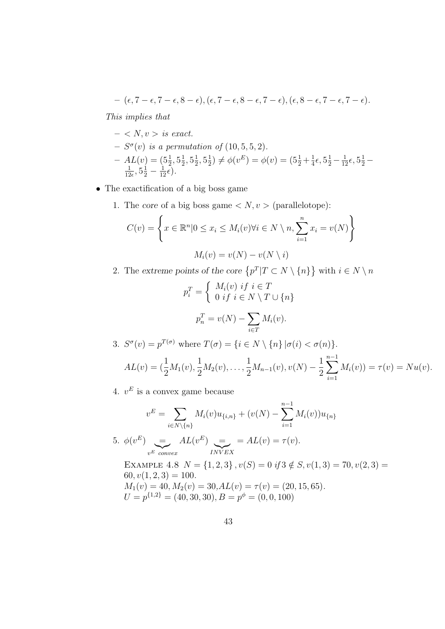$$
- (\epsilon, 7 - \epsilon, 7 - \epsilon, 8 - \epsilon), (\epsilon, 7 - \epsilon, 8 - \epsilon, 7 - \epsilon), (\epsilon, 8 - \epsilon, 7 - \epsilon, 7 - \epsilon).
$$

This implies that

- $< N, v > is exact.$
- $S^{\sigma}(v)$  is a permutation of  $(10, 5, 5, 2)$ .
- $AL(v) = (5\frac{1}{2}, 5\frac{1}{2})$  $\frac{1}{2}, 5\frac{1}{2}$  $\frac{1}{2}, 5\frac{1}{2}$  $(\frac{1}{2}) \neq \phi(v^E) = \phi(v) = (5\frac{1}{2} + \frac{1}{4})$  $4L(v) = (5\frac{1}{2}, 5\frac{1}{2}, 5\frac{1}{2}, 5\frac{1}{2}) \neq \phi(v^E) = \phi(v) = (5\frac{1}{2} + \frac{1}{4}\epsilon, 5\frac{1}{2} - \frac{1}{12}\epsilon, 5\frac{1}{2} - \frac{1}{12}\epsilon)$  $\frac{1}{12\epsilon}, 5\frac{1}{2} - \frac{1}{12}\bar{\epsilon}.$
- The exactification of a big boss game
	- 1. The core of a big boss game  $\langle N, v \rangle$  (parallelotope):

$$
C(v) = \left\{ x \in \mathbb{R}^n | 0 \le x_i \le M_i(v) \forall i \in N \setminus n, \sum_{i=1}^n x_i = v(N) \right\}
$$

$$
M_i(v) = v(N) - v(N \setminus i)
$$

2. The extreme points of the core  $\{p^T | T \subset N \setminus \{n\}\}\$  with  $i \in N \setminus n$ 

$$
p_i^T = \begin{cases} M_i(v) & \text{if } i \in T \\ 0 & \text{if } i \in N \setminus T \cup \{n\} \end{cases}
$$

$$
p_n^T = v(N) - \sum_{i \in T} M_i(v).
$$

3.  $S^{\sigma}(v) = p^{T(\sigma)}$  where  $T(\sigma) = \{i \in N \setminus \{n\} | \sigma(i) < \sigma(n) \}.$ 

$$
AL(v) = (\frac{1}{2}M_1(v), \frac{1}{2}M_2(v), \dots, \frac{1}{2}M_{n-1}(v), v(N) - \frac{1}{2}\sum_{i=1}^{n-1}M_i(v)) = \tau(v) = Nu(v).
$$

4.  $v^E$  is a convex game because

$$
v^{E} = \sum_{i \in N \setminus \{n\}} M_{i}(v)u_{\{i,n\}} + (v(N) - \sum_{i=1}^{n-1} M_{i}(v))u_{\{n\}}
$$
  
5.  $\phi(v^{E}) = A L(v^{E}) = A L(v) = \tau(v).$   
EXAMPLE 4.8  $N = \{1, 2, 3\}$ ,  $v(S) = 0$  if  $3 \notin S$ ,  $v(1, 3) = 70$ ,  $v(2, 3) = 60$ ,  $v(1, 2, 3) = 100$ .  
 $M_{1}(v) = 40$ ,  $M_{2}(v) = 30$ ,  $AL(v) = \tau(v) = (20, 15, 65)$ .  
 $U = p^{\{1, 2\}} = (40, 30, 30)$ ,  $B = p^{\phi} = (0, 0, 100)$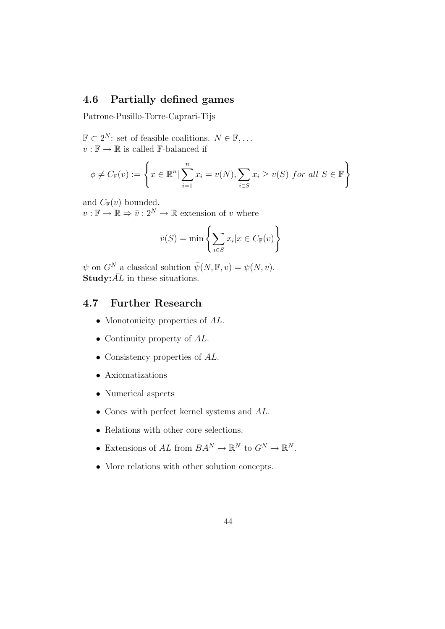# 4.6 Partially defined games

Patrone-Pusillo-Torre-Caprari-Tijs

 $\mathbb{F} \subset 2^N$ : set of feasible coalitions.  $N \in \mathbb{F}, \ldots$  $v:\mathbb{F}\to\mathbb{R}$  is called  $\mathbb{F}\text{-balanced if}$ 

$$
\phi \neq C_{\mathbb{F}}(v) := \left\{ x \in \mathbb{R}^n \mid \sum_{i=1}^n x_i = v(N), \sum_{i \in S} x_i \ge v(S) \text{ for all } S \in \mathbb{F} \right\}
$$

and  $C_{\mathbb{F}}(v)$  bounded.

 $v : \mathbb{F} \to \mathbb{R} \Rightarrow \bar{v} : 2^N \to \mathbb{R}$  extension of v where

$$
\bar{v}(S) = \min \left\{ \sum_{i \in S} x_i | x \in C_{\mathbb{F}}(v) \right\}
$$

 $\psi$  on  $G^N$  a classical solution  $\bar{\psi}(N, \mathbb{F}, v) = \psi(N, v)$ . **Study:** $\overline{AL}$  in these situations.

# 4.7 Further Research

- Monotonicity properties of  $AL$ .
- Continuity property of  $AL$ .
- Consistency properties of  $AL$ .
- Axiomatizations
- Numerical aspects
- Cones with perfect kernel systems and AL.
- Relations with other core selections.
- Extensions of AL from  $BA^N \to \mathbb{R}^N$  to  $G^N \to \mathbb{R}^N$ .
- More relations with other solution concepts.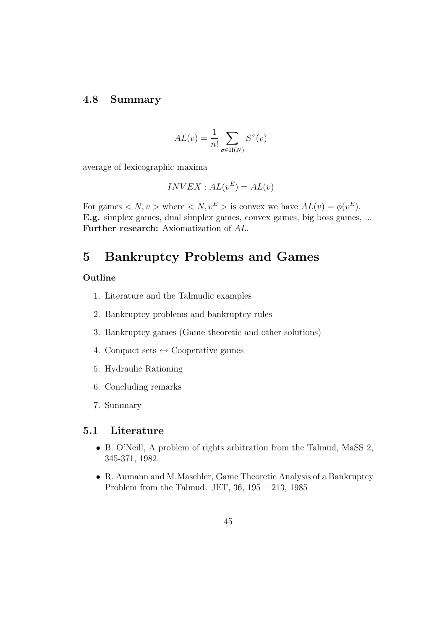# 4.8 Summary

$$
AL(v) = \frac{1}{n!} \sum_{\sigma \in \Pi(N)} S^{\sigma}(v)
$$

average of lexicographic maxima

$$
INVEX : AL(v^E) = AL(v)
$$

For games  $\langle N, v \rangle$  where  $\langle N, v^E \rangle$  is convex we have  $AL(v) = \phi(v^E)$ . E.g. simplex games, dual simplex games, convex games, big boss games, ... Further research: Axiomatization of AL.

# 5 Bankruptcy Problems and Games

### Outline

- 1. Literature and the Talmudic examples
- 2. Bankruptcy problems and bankruptcy rules
- 3. Bankruptcy games (Game theoretic and other solutions)
- 4. Compact sets  $\leftrightarrow$  Cooperative games
- 5. Hydraulic Rationing
- 6. Concluding remarks
- 7. Summary

#### 5.1 Literature

- B. O'Neill, A problem of rights arbitration from the Talmud, MaSS 2, 345-371, 1982.
- R. Aumann and M.Maschler, Game Theoretic Analysis of a Bankruptcy Problem from the Talmud. JET, 36, 195 − 213, 1985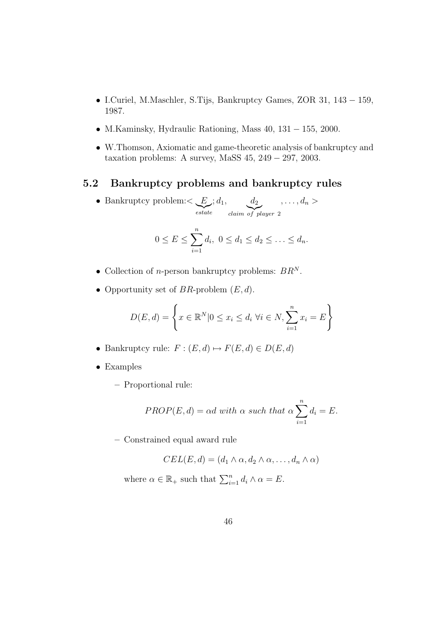- I.Curiel, M.Maschler, S.Tijs, Bankruptcy Games, ZOR 31, 143 − 159, 1987.
- M.Kaminsky, Hydraulic Rationing, Mass 40, 131 − 155, 2000.
- W.Thomson, Axiomatic and game-theoretic analysis of bankruptcy and taxation problems: A survey, MaSS 45, 249 − 297, 2003.

# 5.2 Bankruptcy problems and bankruptcy rules

• Bankruptcy problem: $\lt E$  $\sum_{\text{estate}}$  $; d_1, \ldots, d_2$ claim of player 2  $, \ldots, d_n >$ 

$$
0 \le E \le \sum_{i=1}^n d_i, \ 0 \le d_1 \le d_2 \le \ldots \le d_n.
$$

- Collection of *n*-person bankruptcy problems:  $BR<sup>N</sup>$ .
- Opportunity set of  $BR$ -problem  $(E, d)$ .

$$
D(E, d) = \left\{ x \in \mathbb{R}^N | 0 \le x_i \le d_i \,\,\forall i \in N, \sum_{i=1}^n x_i = E \right\}
$$

- Bankruptcy rule:  $F : (E, d) \mapsto F(E, d) \in D(E, d)$
- Examples
	- Proportional rule:

$$
PROP(E, d) = \alpha d \text{ with } \alpha \text{ such that } \alpha \sum_{i=1}^{n} d_i = E.
$$

– Constrained equal award rule

$$
CEL(E, d) = (d_1 \wedge \alpha, d_2 \wedge \alpha, \dots, d_n \wedge \alpha)
$$

where  $\alpha \in \mathbb{R}_+$  such that  $\sum_{i=1}^n d_i \wedge \alpha = E$ .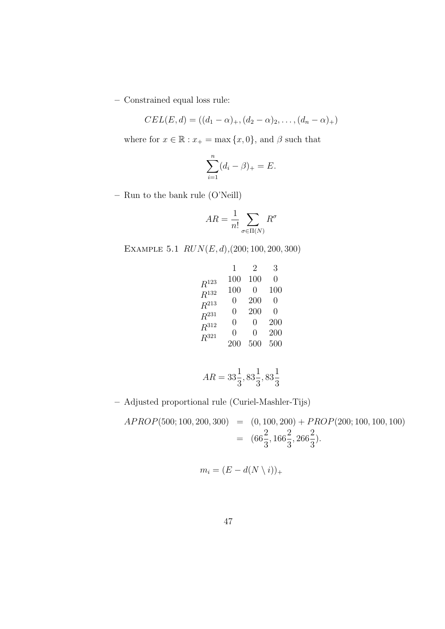– Constrained equal loss rule:

$$
CEL(E, d) = ((d_1 - \alpha)_+, (d_2 - \alpha)_2, \dots, (d_n - \alpha)_+)
$$

where for  $x\in\mathbb{R} : x_+=\max{\{x,0\}},$  and  $\beta$  such that

$$
\sum_{i=1}^n (d_i - \beta)_+ = E.
$$

– Run to the bank rule (O'Neill)

$$
AR = \frac{1}{n!} \sum_{\sigma \in \Pi(N)} R^{\sigma}
$$

EXAMPLE  $5.1$   $RUN(E, d)$ , (200; 100, 200, 300)

|                    | 1                | 2                | 3                |
|--------------------|------------------|------------------|------------------|
| $\mathbb{R}^{123}$ | 100              | 100              | $\left( \right)$ |
| $\mathbb{R}^{132}$ | 100              | 0                | 100              |
| $R^{213}$          | $\left( \right)$ | 200              | $\left( \right)$ |
| $\mathbb{R}^{231}$ | $\left( \right)$ | 200              | $\left( \right)$ |
| $\mathbb{R}^{312}$ | $\left( \right)$ | $\left( \right)$ | 200              |
| $R^{321}$          | 0                | $\mathcal{O}$    | 200              |
|                    | 200              | 500              | 500              |
|                    |                  |                  |                  |

$$
AR = 33\frac{1}{3}, 83\frac{1}{3}, 83\frac{1}{3}
$$

– Adjusted proportional rule (Curiel-Mashler-Tijs)

 $APROP(500; 100, 200, 300) = (0, 100, 200) + PROP(200; 100, 100, 100)$  $=$   $(66\frac{2}{3})$ 3 , 166 2 3 , 266 2 3 ).

$$
m_i = (E - d(N \setminus i))_+
$$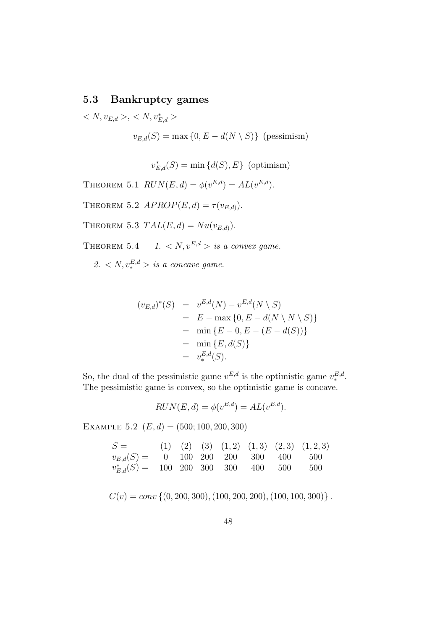# 5.3 Bankruptcy games

 $\langle N, v_{E,d} \rangle, \langle N, v_{E,d}^* \rangle$  $v_{E,d}(S) = \max\{0, E - d(N \setminus S)\}\$  (pessimism)

 $v_{E,d}^*(S) = \min\{d(S), E\}$  (optimism)

THEOREM 5.1  $RUN(E, d) = \phi(v^{E, d}) = AL(v^{E, d}).$ 

THEOREM 5.2  $APROP(E, d) = \tau(v_{E,d}).$ 

THEOREM 5.3  $TAL(E,d) = Nu(v_{E,d}).$ 

THEOREM 5.4 1.  $\langle N, v^{E,d} \rangle$  is a convex game.

2.  $\langle N, v_*^{E,d} \rangle$  is a concave game.

$$
(v_{E,d})^*(S) = v^{E,d}(N) - v^{E,d}(N \setminus S)
$$
  
=  $E - \max \{0, E - d(N \setminus N \setminus S)\}$   
=  $\min \{E - 0, E - (E - d(S))\}$   
=  $\min \{E, d(S)\}$   
=  $v_*^{E,d}(S)$ .

So, the dual of the pessimistic game  $v^{E,d}$  is the optimistic game  $v^{E,d}_*$ . The pessimistic game is convex, so the optimistic game is concave.

$$
RUN(E, d) = \phi(v^{E, d}) = AL(v^{E, d}).
$$

EXAMPLE 5.2  $(E, d) = (500; 100, 200, 300)$ 

| $S =$ (1) (2) (3) (1,2) (1,3) (2,3) (1,2,3)              |  |  |  |  |
|----------------------------------------------------------|--|--|--|--|
| $v_{E,d}(S) = 0$ 100 200 200 300 400 500                 |  |  |  |  |
| $v_{E,d}^*(S) = 100 \ 200 \ 300 \ 300 \ 400 \ 500 \ 500$ |  |  |  |  |

 $C(v) = conv \{ (0, 200, 300), (100, 200, 200), (100, 100, 300) \}.$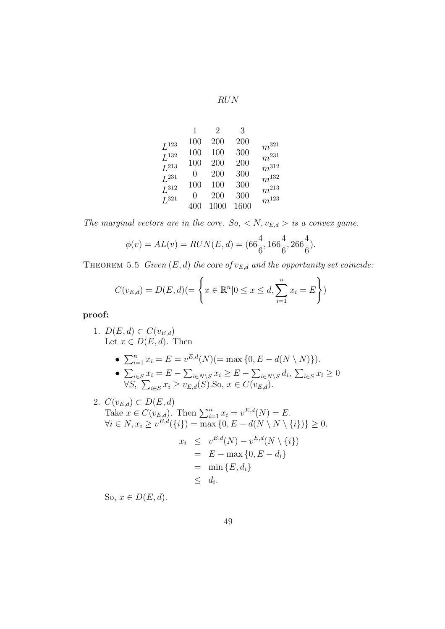RUN

|                  | 1            | $\overline{2}$ | 3    |                        |
|------------------|--------------|----------------|------|------------------------|
| ${\cal L}^{123}$ | 100          | 200            | 200  | $\boldsymbol{m}^{321}$ |
| $L^{132}$        | 100          | 100            | 300  | $m^{231}$              |
| $L^{213}$        | 100          | 200            | 200  | $m^{312}$              |
| $L^{231}$        | $\mathbf{0}$ | 200            | 300  |                        |
| ${\cal L}^{312}$ | 100          | 100            | 300  | $m^{\rm 132}$          |
|                  | $\mathbf{0}$ | 200            | 300  | $m^{213}$              |
| $L^{321}$        | 400          | 1000           | 1600 | $m^{\rm 123}$          |

The marginal vectors are in the core. So,  $\langle N, v_{E,d}\rangle$  is a convex game.

$$
\phi(v) = AL(v) = RUN(E, d) = (66\frac{4}{6}, 166\frac{4}{6}, 266\frac{4}{6}).
$$

THEOREM 5.5 Given  $(E,d)$  the core of  $v_{E,d}$  and the opportunity set coincide:

$$
C(v_{E,d}) = D(E,d) (= \left\{ x \in \mathbb{R}^n | 0 \le x \le d, \sum_{i=1}^n x_i = E \right\})
$$

proof:

- 1.  $D(E,d) \subset C(v_{E,d})$ Let  $x \in D(E, d)$ . Then
	- $\sum_{i=1}^{n} x_i = E = v^{E,d}(N) (= \max\{0, E d(N \setminus N)\}).$
	- $\sum_{i \in S} x_i = E \sum_{i \in N \setminus S} x_i \ge E \sum_{i \in N \setminus S} d_i, \sum_{i \in S} x_i \ge 0$  $\forall S, \sum_{i \in S} x_i \ge v_{E,d}(S)$ .So,  $x \in C(v_{E,d})$ .
- 2.  $C(v_{E,d}) \subset D(E,d)$ Take  $x \in C(v_{E,d})$ . Then  $\sum_{i=1}^{n} x_i = v^{E,d}(N) = E$ .  $\forall i \in N, x_i \ge v^{E,d}(\{i\}) = \max\{0, E - d(N \setminus N \setminus \{i\})\} \ge 0.$  $x_i \leq v^{E,d}(N) - v^{E,d}(N \setminus \{i\})$  $= E - \max\{0, E - d_i\}$  $=$  min  $\{E, d_i\}$  $\leq d_i$ .

So,  $x \in D(E, d)$ .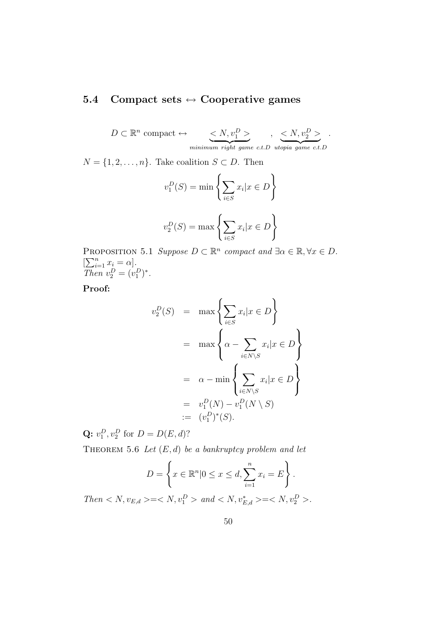# 5.4 Compact sets  $\leftrightarrow$  Cooperative games

 $D \subset \mathbb{R}^n$  compact  $\leftrightarrow \quad \langle N, v_1^D \rangle$  $minimum$  right game c.t.D  $, \leq N, v_2^D >$ utopia game c.t.D .

 $N = \{1, 2, ..., n\}$ . Take coalition  $S \subset D$ . Then

$$
v_1^D(S) = \min\left\{\sum_{i \in S} x_i | x \in D\right\}
$$

$$
v_2^D(S) = \max\left\{\sum_{i \in S} x_i | x \in D\right\}
$$

PROPOSITION 5.1 Suppose  $D \subset \mathbb{R}^n$  compact and  $\exists \alpha \in \mathbb{R}, \forall x \in D$ .  $[\sum_{i=1}^n x_i = \alpha].$ Then  $v_2^D = (v_1^D)^*$ .

Proof:

$$
v_2^D(S) = \max \left\{ \sum_{i \in S} x_i | x \in D \right\}
$$
  
= 
$$
\max \left\{ \alpha - \sum_{i \in N \setminus S} x_i | x \in D \right\}
$$
  
= 
$$
\alpha - \min \left\{ \sum_{i \in N \setminus S} x_i | x \in D \right\}
$$
  
= 
$$
v_1^D(N) - v_1^D(N \setminus S)
$$
  
:= 
$$
(v_1^D)^*(S).
$$

**Q:**  $v_1^D, v_2^D$  for  $D = D(E, d)$ ?

THEOREM 5.6 Let  $(E,d)$  be a bankruptcy problem and let

$$
D = \left\{ x \in \mathbb{R}^n | 0 \le x \le d, \sum_{i=1}^n x_i = E \right\}.
$$

 $Then < N, v_{E,d} > = < N, v_1^D > and < N, v_{E,d}^* > = < N, v_2^D >$ .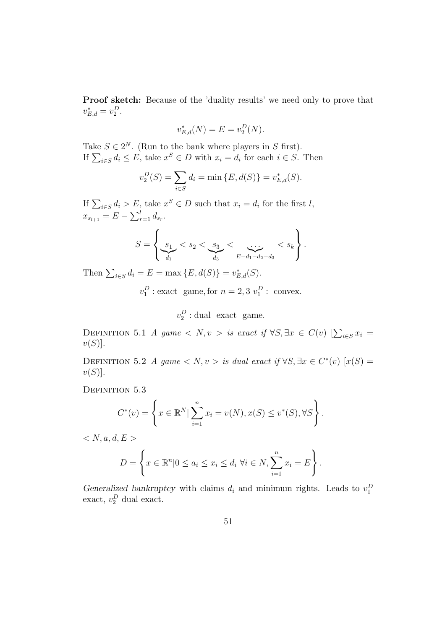Proof sketch: Because of the 'duality results' we need only to prove that  $v_{E,d}^* = v_2^D.$ 

$$
v_{E,d}^*(N) = E = v_2^D(N).
$$

Take  $S \in 2^N$ . (Run to the bank where players in S first). If  $\sum_{i \in S} d_i \leq E$ , take  $x^S \in D$  with  $x_i = d_i$  for each  $i \in S$ . Then

$$
v_2^D(S) = \sum_{i \in S} d_i = \min \{ E, d(S) \} = v_{E,d}^*(S).
$$

If  $\sum_{i \in S} d_i > E$ , take  $x^S \in D$  such that  $x_i = d_i$  for the first l,  $x_{s_{l+1}} = E - \sum_{r=1}^{l} d_{s_r}.$ 

$$
S = \left\{ \underbrace{s_1}_{d_1} < s_2 < \underbrace{s_3}_{d_3} < \underbrace{\dots}_{E-d_1-d_2-d_3} < s_k \right\}.
$$

Then  $\sum_{i \in S} d_i = E = \max \{ E, d(S) \} = v_{E,d}^*(S)$ .

 $v_1^D$ : exact game, for  $n = 2, 3 v_1^D$ : convex.

 $v_2^D$ : dual exact game.

DEFINITION 5.1 A game  $\langle N, v \rangle$  is exact if  $\forall S, \exists x \in C(v)$   $[\sum_{i \in S} x_i =$  $v(S)$ .

DEFINITION 5.2 A game  $\langle N, v \rangle$  is dual exact if  $\forall S, \exists x \in C^*(v)$   $[x(S)]$  $v(S)$ .

DEFINITION 5.3

$$
C^*(v) = \left\{ x \in \mathbb{R}^N \mid \sum_{i=1}^n x_i = v(N), x(S) \le v^*(S), \forall S \right\}.
$$

 $\langle N, a, d, E \rangle$ 

$$
D = \left\{ x \in \mathbb{R}^n | 0 \le a_i \le x_i \le d_i \,\forall i \in N, \sum_{i=1}^n x_i = E \right\}.
$$

Generalized bankruptcy with claims  $d_i$  and minimum rights. Leads to  $v_1^D$ exact,  $v_2^D$  dual exact.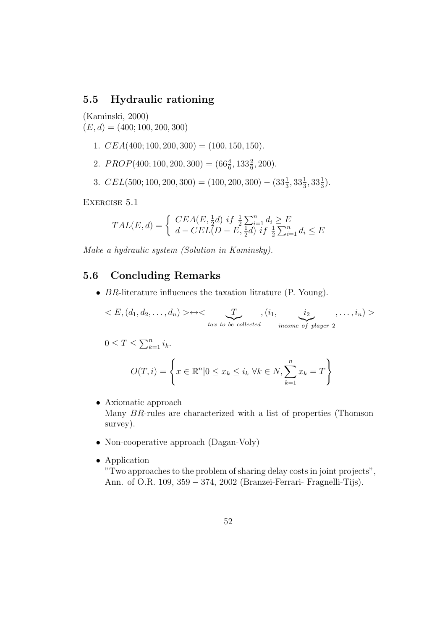## 5.5 Hydraulic rationing

(Kaminski, 2000)

 $(E, d) = (400; 100, 200, 300)$ 

- 1.  $CEA(400; 100, 200, 300) = (100, 150, 150).$
- 2.  $PROP(400; 100, 200, 300) = (66\frac{4}{6}, 133\frac{2}{6}, 200).$
- 3.  $CEL(500; 100, 200, 300) = (100, 200, 300) (33\frac{1}{3}, 33\frac{1}{3}, 33\frac{1}{3}).$

Exercise 5.1

$$
TAL(E, d) = \begin{cases} CEA(E, \frac{1}{2}d) \ if \ \frac{1}{2} \sum_{i=1}^{n} d_i \ge E \\ d - CEL(D - E, \frac{1}{2}d) \ if \ \frac{1}{2} \sum_{i=1}^{n} d_i \le E \end{cases}
$$

Make a hydraulic system (Solution in Kaminsky).

# 5.6 Concluding Remarks

• BR-literature influences the taxation litrature (P. Young).

$$
\langle E, (d_1, d_2, \ldots, d_n) \rangle \rightarrow \langle \sum_{\text{tax to be collected}} , (i_1, \underbrace{i_2}_{\text{income of player 2}}, \ldots, i_n) \rangle
$$

$$
0 \le T \le \sum_{k=1}^{n} i_k.
$$
  

$$
O(T, i) = \left\{ x \in \mathbb{R}^n | 0 \le x_k \le i_k \ \forall k \in N, \sum_{k=1}^{n} x_k = T \right\}
$$

- Axiomatic approach Many BR-rules are characterized with a list of properties (Thomson survey).
- Non-cooperative approach (Dagan-Voly)
- Application

"Two approaches to the problem of sharing delay costs in joint projects", Ann. of O.R. 109, 359 − 374, 2002 (Branzei-Ferrari- Fragnelli-Tijs).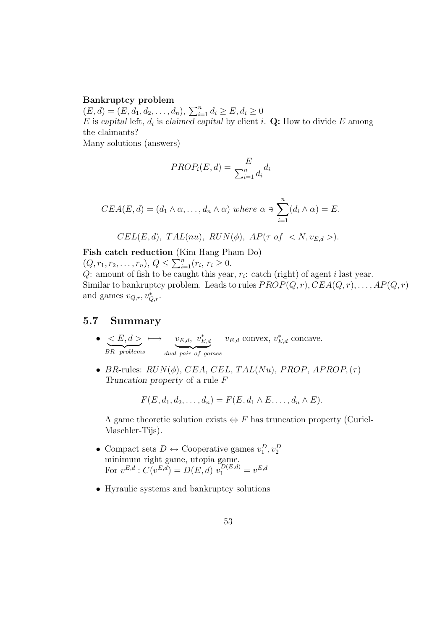#### Bankruptcy problem

 $(E, d) = (E, d_1, d_2, \dots, d_n), \sum_{i=1}^n d_i \ge E, d_i \ge 0$ E is capital left,  $d_i$  is claimed capital by client i. Q: How to divide E among the claimants?

Many solutions (answers)

$$
PROP_i(E, d) = \frac{E}{\sum_{i=1}^n d_i} d_i
$$

$$
CEA(E, d) = (d_1 \wedge \alpha, \dots, d_n \wedge \alpha) \text{ where } \alpha \ni \sum_{i=1}^n (d_i \wedge \alpha) = E.
$$

$$
CEL(E, d), TAL(nu), RUN(\phi), AP(\tau \ of \ )
$$
.

Fish catch reduction (Kim Hang Pham Do)  $(Q, r_1, r_2, \ldots, r_n), Q \leq \sum_{i=1}^n (r_i, r_i \geq 0.$ 

Q: amount of fish to be caught this year,  $r_i$ : catch (right) of agent *i* last year. Similar to bankruptcy problem. Leads to rules  $PROP(Q,r), CEA(Q,r), \ldots, AP(Q,r)$ and games  $v_{Q,r}, v_{Q,r}^*$ .

#### 5.7 Summary

- $\bullet~~ < E, d >$ BR-problems  $\longmapsto \quad v_{E,d},\ v_{E,d}^*$ dual pair of games  $v_{E,d}$  convex,  $v_{E,d}^*$  concave.
- BR-rules:  $RUN(\phi)$ , CEA, CEL, TAL(Nu), PROP, APROP,  $(\tau)$ Truncation property of a rule F

$$
F(E, d_1, d_2, \ldots, d_n) = F(E, d_1 \wedge E, \ldots, d_n \wedge E).
$$

A game theoretic solution exists  $\Leftrightarrow$  F has truncation property (Curiel-Maschler-Tijs).

- Compact sets  $D \leftrightarrow$  Cooperative games  $v_1^D, v_2^D$ minimum right game, utopia game. For  $v^{E,d}: C(v^{E,\bar{d}}) = D(E,d) v_1^{D(E,d)} = v^{E,d}$
- Hyraulic systems and bankruptcy solutions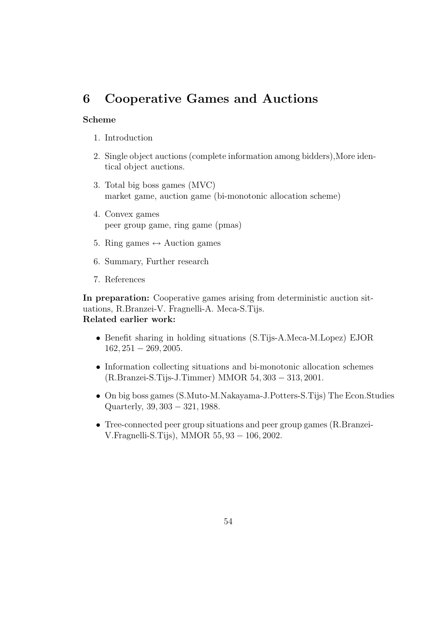# 6 Cooperative Games and Auctions

#### Scheme

- 1. Introduction
- 2. Single object auctions (complete information among bidders),More identical object auctions.
- 3. Total big boss games (MVC) market game, auction game (bi-monotonic allocation scheme)
- 4. Convex games peer group game, ring game (pmas)
- 5. Ring games  $\leftrightarrow$  Auction games
- 6. Summary, Further research
- 7. References

In preparation: Cooperative games arising from deterministic auction situations, R.Branzei-V. Fragnelli-A. Meca-S.Tijs. Related earlier work:

- Benefit sharing in holding situations (S.Tijs-A.Meca-M.Lopez) EJOR 162, 251 − 269, 2005.
- Information collecting situations and bi-monotonic allocation schemes (R.Branzei-S.Tijs-J.Timmer) MMOR 54, 303 − 313, 2001.
- On big boss games (S.Muto-M.Nakayama-J.Potters-S.Tijs) The Econ.Studies Quarterly, 39, 303 − 321, 1988.
- Tree-connected peer group situations and peer group games (R.Branzei-V.Fragnelli-S.Tijs), MMOR 55, 93 − 106, 2002.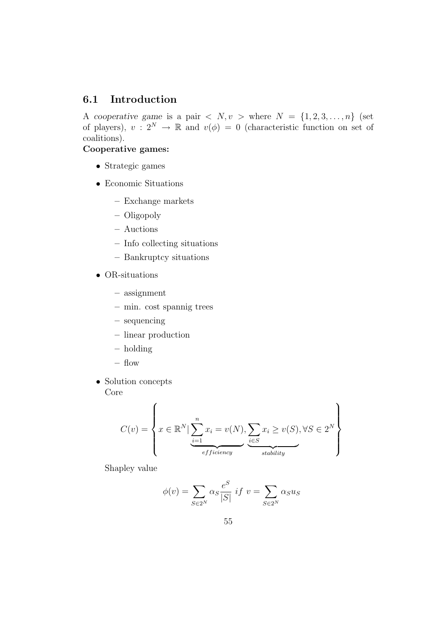# 6.1 Introduction

A cooperative game is a pair  $\langle N, v \rangle$  where  $N = \{1, 2, 3, ..., n\}$  (set of players),  $v: 2^N \to \mathbb{R}$  and  $v(\phi) = 0$  (characteristic function on set of coalitions).

#### Cooperative games:

- Strategic games
- Economic Situations
	- Exchange markets
	- Oligopoly
	- Auctions
	- Info collecting situations
	- Bankruptcy situations
- OR-situations
	- assignment
	- min. cost spannig trees
	- sequencing
	- linear production
	- holding
	- flow
- Solution concepts Core

$$
C(v) = \left\{ x \in \mathbb{R}^N \mid \underbrace{\sum_{i=1}^n x_i = v(N)}_{efficiency}, \underbrace{\sum_{i \in S} x_i \ge v(S)}_{stability}, \forall S \in 2^N \right\}
$$

Shapley value

$$
\phi(v) = \sum_{S \in 2^N} \alpha_S \frac{e^S}{|S|} \; if \; v = \sum_{S \in 2^N} \alpha_S u_S
$$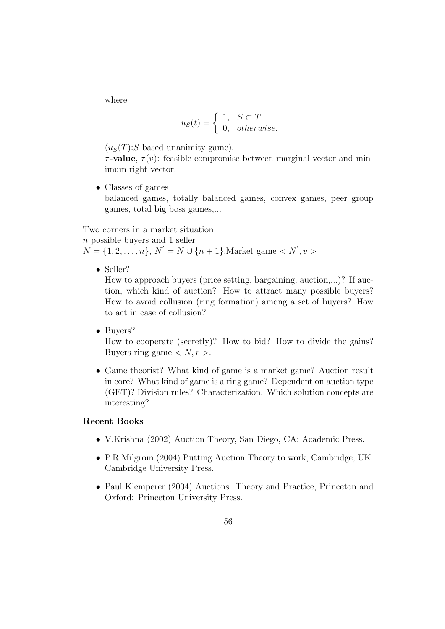where

$$
u_S(t) = \begin{cases} 1, & S \subset T \\ 0, & otherwise. \end{cases}
$$

 $(u<sub>S</sub>(T):S$ -based unanimity game).

 $\tau$ -value,  $\tau(v)$ : feasible compromise between marginal vector and minimum right vector.

• Classes of games balanced games, totally balanced games, convex games, peer group games, total big boss games,...

Two corners in a market situation

n possible buyers and 1 seller

 $N = \{1, 2, ..., n\}, N' = N \cup \{n+1\}.$ Market game  $\langle N', v \rangle$ 

• Seller?

How to approach buyers (price setting, bargaining, auction,...)? If auction, which kind of auction? How to attract many possible buyers? How to avoid collusion (ring formation) among a set of buyers? How to act in case of collusion?

• Buyers?

How to cooperate (secretly)? How to bid? How to divide the gains? Buyers ring game  $\langle N, r \rangle$ .

• Game theorist? What kind of game is a market game? Auction result in core? What kind of game is a ring game? Dependent on auction type (GET)? Division rules? Characterization. Which solution concepts are interesting?

#### Recent Books

- V.Krishna (2002) Auction Theory, San Diego, CA: Academic Press.
- P.R.Milgrom (2004) Putting Auction Theory to work, Cambridge, UK: Cambridge University Press.
- Paul Klemperer (2004) Auctions: Theory and Practice, Princeton and Oxford: Princeton University Press.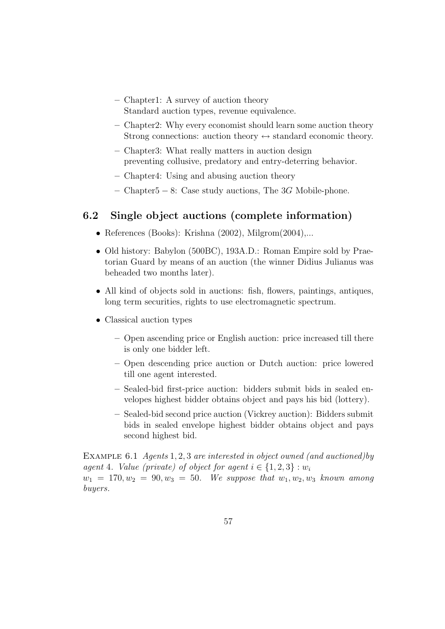- Chapter1: A survey of auction theory Standard auction types, revenue equivalence.
- Chapter2: Why every economist should learn some auction theory Strong connections: auction theory  $\leftrightarrow$  standard economic theory.
- Chapter3: What really matters in auction design preventing collusive, predatory and entry-deterring behavior.
- Chapter4: Using and abusing auction theory
- Chapter5 − 8: Case study auctions, The 3G Mobile-phone.

# 6.2 Single object auctions (complete information)

- References (Books): Krishna (2002), Milgrom(2004),...
- Old history: Babylon (500BC), 193A.D.: Roman Empire sold by Praetorian Guard by means of an auction (the winner Didius Julianus was beheaded two months later).
- All kind of objects sold in auctions: fish, flowers, paintings, antiques, long term securities, rights to use electromagnetic spectrum.
- Classical auction types
	- Open ascending price or English auction: price increased till there is only one bidder left.
	- Open descending price auction or Dutch auction: price lowered till one agent interested.
	- Sealed-bid first-price auction: bidders submit bids in sealed envelopes highest bidder obtains object and pays his bid (lottery).
	- Sealed-bid second price auction (Vickrey auction): Bidders submit bids in sealed envelope highest bidder obtains object and pays second highest bid.

EXAMPLE 6.1 Agents 1, 2, 3 are interested in object owned (and auctioned) by agent 4. Value (private) of object for agent  $i \in \{1,2,3\} : w_i$  $w_1 = 170, w_2 = 90, w_3 = 50$ . We suppose that  $w_1, w_2, w_3$  known among buyers.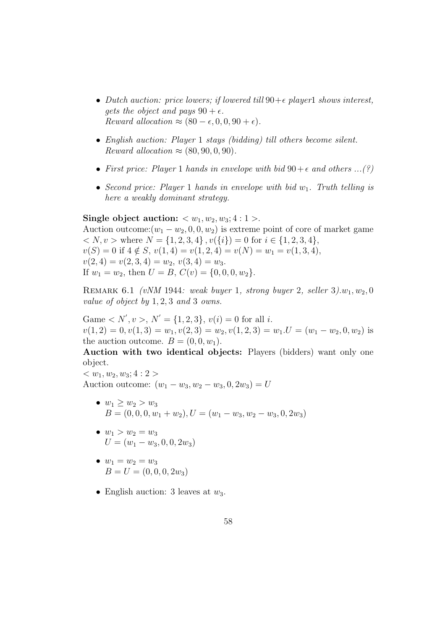- Dutch auction: price lowers; if lowered till  $90+\epsilon$  player1 shows interest, gets the object and pays  $90 + \epsilon$ . Reward allocation  $\approx (80 - \epsilon, 0, 0, 90 + \epsilon)$ .
- English auction: Player 1 stays (bidding) till others become silent. Reward allocation  $\approx (80, 90, 0, 90)$ .
- First price: Player 1 hands in envelope with bid  $90+\epsilon$  and others ...(?)
- Second price: Player 1 hands in envelope with bid  $w_1$ . Truth telling is here a weakly dominant strategy.

#### Single object auction:  $\langle w_1, w_2, w_3; 4:1 \rangle$ .

Auction outcome: $(w_1 - w_2, 0, 0, w_2)$  is extreme point of core of market game  $\langle N, v \rangle$  where  $N = \{1, 2, 3, 4\}, v(\{i\}) = 0$  for  $i \in \{1, 2, 3, 4\}, v(\{i\}) = 0$  $v(S) = 0$  if  $4 \notin S$ ,  $v(1, 4) = v(1, 2, 4) = v(N) = w_1 = v(1, 3, 4),$  $v(2, 4) = v(2, 3, 4) = w_2, v(3, 4) = w_3.$ If  $w_1 = w_2$ , then  $U = B$ ,  $C(v) = \{0, 0, 0, w_2\}.$ 

REMARK 6.1 (vNM 1944: weak buyer 1, strong buyer 2, seller  $3)w_1, w_2, 0$ value of object by 1, 2, 3 and 3 owns.

Game  $\langle N', v \rangle, N' = \{1, 2, 3\}, v(i) = 0$  for all *i*.  $v(1, 2) = 0, v(1, 3) = w_1, v(2, 3) = w_2, v(1, 2, 3) = w_1.$   $U = (w_1 - w_2, 0, w_2)$  is the auction outcome.  $B = (0, 0, w_1)$ .

Auction with two identical objects: Players (bidders) want only one object.

 $< w_1, w_2, w_3; 4:2>$ Auction outcome:  $(w_1 - w_3, w_2 - w_3, 0, 2w_3) = U$ 

- $w_1 \geq w_2 > w_3$  $B = (0, 0, 0, w_1 + w_2), U = (w_1 - w_3, w_2 - w_3, 0, 2w_3)$
- $w_1 > w_2 = w_3$  $U = (w_1 - w_3, 0, 0, 2w_3)$
- $w_1 = w_2 = w_3$  $B = U = (0, 0, 0, 2w_3)$
- English auction: 3 leaves at  $w_3$ .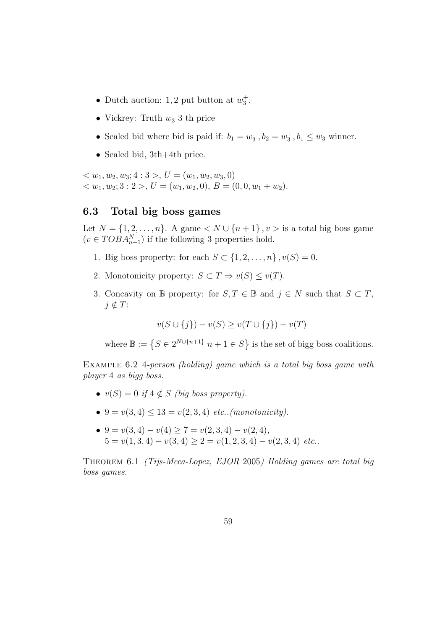- Dutch auction: 1, 2 put button at  $w_3^+$ .
- Vickrey: Truth  $w_3$  3 th price
- Sealed bid where bid is paid if:  $b_1 = w_3^+, b_2 = w_3^+, b_1 \leq w_3$  winner.
- Sealed bid, 3th+4th price.

 $< w_1, w_2, w_3; 4:3>, U = (w_1, w_2, w_3, 0)$  $\langle w_1, w_2, 3 : 2 \rangle, U = (w_1, w_2, 0), B = (0, 0, w_1 + w_2).$ 

#### 6.3 Total big boss games

Let  $N = \{1, 2, ..., n\}$ . A game  $\langle N \cup \{n+1\}, v \rangle$  is a total big boss game  $(v \in TOBA_{n+1}^N)$  if the following 3 properties hold.

- 1. Big boss property: for each  $S \subset \{1, 2, \ldots, n\}$ ,  $v(S) = 0$ .
- 2. Monotonicity property:  $S \subset T \Rightarrow v(S) \le v(T)$ .
- 3. Concavity on B property: for  $S, T \in \mathbb{B}$  and  $j \in N$  such that  $S \subset T$ ,  $j \notin T$ :

 $v(S \cup \{i\}) - v(S) \ge v(T \cup \{i\}) - v(T)$ 

where  $\mathbb{B} := \{ S \in 2^{N \cup \{n+1\}} | n+1 \in S \}$  is the set of bigg boss coalitions.

Example 6.2 4-person (holding) game which is a total big boss game with player 4 as bigg boss.

- $v(S) = 0$  if  $4 \notin S$  (big boss property).
- $9 = v(3, 4) < 13 = v(2, 3, 4)$  etc..(monotonicity).
- 9 =  $v(3,4) v(4) \ge 7 = v(2,3,4) v(2,4)$ ,  $5 = v(1, 3, 4) - v(3, 4) \ge 2 = v(1, 2, 3, 4) - v(2, 3, 4)$  etc..

Theorem 6.1 (Tijs-Meca-Lopez, EJOR 2005) Holding games are total big boss games.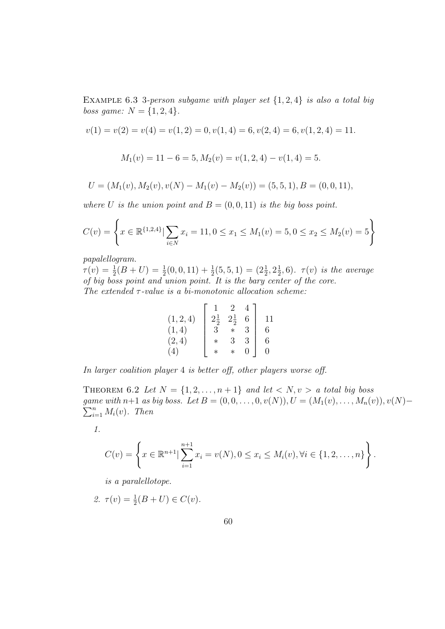EXAMPLE 6.3 3-person subgame with player set  $\{1,2,4\}$  is also a total big *boss game:*  $N = \{1, 2, 4\}.$ 

$$
v(1) = v(2) = v(4) = v(1, 2) = 0, v(1, 4) = 6, v(2, 4) = 6, v(1, 2, 4) = 11.
$$
  

$$
M_1(v) = 11 - 6 = 5, M_2(v) = v(1, 2, 4) - v(1, 4) = 5.
$$

$$
U = (M_1(v), M_2(v), v(N) - M_1(v) - M_2(v)) = (5, 5, 1), B = (0, 0, 11),
$$

where U is the union point and  $B = (0, 0, 11)$  is the big boss point.

$$
C(v) = \left\{ x \in \mathbb{R}^{\{1,2,4\}} | \sum_{i \in N} x_i = 11, 0 \le x_1 \le M_1(v) = 5, 0 \le x_2 \le M_2(v) = 5 \right\}
$$

papalellogram.

 $\tau(v) = \frac{1}{2}(B+U) = \frac{1}{2}(0,0,11) + \frac{1}{2}(5,5,1) = (2\frac{1}{2},2\frac{1}{2})$  $(\frac{1}{2},6)$ .  $\tau(v)$  is the average of big boss point and union point. It is the bary center of the core. The extended  $\tau$ -value is a bi-monotonic allocation scheme:

|           | $\mathbf{1}$    | 2              |          |          |
|-----------|-----------------|----------------|----------|----------|
| (1, 2, 4) | $2\frac{1}{2}$  | $2\frac{1}{2}$ | 6        | 11       |
| (1, 4)    | $3\phantom{.0}$ | $*$            | 3        | 6        |
| (2, 4)    | $\ast$          | $\overline{3}$ | 3        | 6        |
| (4)       | $\ast$          |                | $\Omega$ | $\theta$ |

In larger coalition player 4 is better off, other players worse off.

THEOREM 6.2 Let  $N = \{1, 2, ..., n+1\}$  and let  $\langle N, v \rangle$  a total big boss  $\sum_{i=1}^n M_i(v)$ . Then game with n+1 as big boss. Let  $B = (0, 0, \ldots, 0, v(N)), U = (M_1(v), \ldots, M_n(v)), v(N)$ 

1.

$$
C(v) = \left\{ x \in \mathbb{R}^{n+1} \mid \sum_{i=1}^{n+1} x_i = v(N), 0 \le x_i \le M_i(v), \forall i \in \{1, 2, ..., n\} \right\}.
$$

is a paralellotope.

2.  $\tau(v) = \frac{1}{2}(B + U) \in C(v)$ .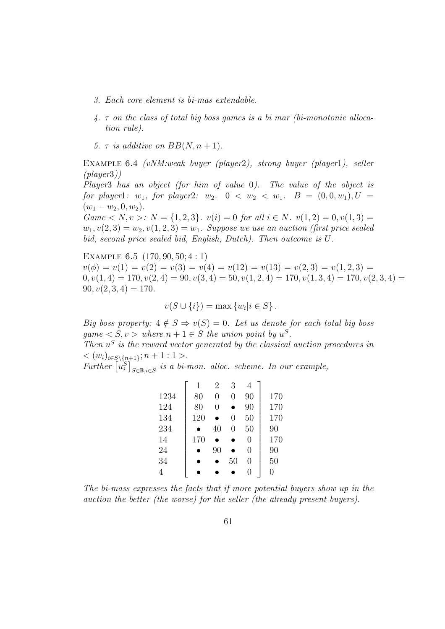- 3. Each core element is bi-mas extendable.
- 4. τ on the class of total big boss games is a bi mar (bi-monotonic allocation rule).
- 5.  $\tau$  is additive on  $BB(N, n+1)$ .

Example 6.4 (vNM:weak buyer (player2), strong buyer (player1), seller  $(\text{player3})$ )

Player3 has an object (for him of value 0). The value of the object is for player1:  $w_1$ , for player2:  $w_2$ .  $0 < w_2 < w_1$ .  $B = (0, 0, w_1)$ ,  $U =$  $(w_1 - w_2, 0, w_2).$ Game  $\langle N, v \rangle$ :  $N = \{1, 2, 3\}$ .  $v(i) = 0$  for all  $i \in N$ .  $v(1, 2) = 0, v(1, 3) = 0$ .  $w_1, v(2, 3) = w_2, v(1, 2, 3) = w_1$ . Suppose we use an auction (first price sealed

bid, second price sealed bid, English, Dutch). Then outcome is U. Example 6.5 (170, 90, 50; 4 : 1)  $v(\phi) = v(1) = v(2) = v(3) = v(4) = v(12) = v(13) = v(2, 3) = v(1, 2, 3) = v(1, 2, 3)$ 

 $0, v(1, 4) = 170, v(2, 4) = 90, v(3, 4) = 50, v(1, 2, 4) = 170, v(1, 3, 4) = 170, v(2, 3, 4) =$  $90, v(2, 3, 4) = 170.$ 

$$
v(S \cup \{i\}) = \max \{w_i | i \in S\}.
$$

Big boss property:  $4 \notin S \Rightarrow v(S) = 0$ . Let us denote for each total big boss  $game < S, v > where n + 1 \in S$  the union point by  $u^S$ .

Then  $u^S$  is the reward vector generated by the classical auction procedures in  $<(w_i)_{i\in S\setminus\{n+1\}};n+1:1>$ .

Further  $[u_i^S]_{S \in \mathbb{B}, i \in S}$  is a bi-mon. alloc. scheme. In our example,

|      | 1   | 2  | 3  | 4  |     |
|------|-----|----|----|----|-----|
| 1234 | 80  | 0  | 0  | 90 | 170 |
| 124  | 80  | 0  |    | 90 | 170 |
| 134  | 120 |    | 0  | 50 | 170 |
| 234  |     | 40 | 0  | 50 | 90  |
| 14   | 170 |    |    | 0  | 170 |
| 24   |     | 90 |    | 0  | 90  |
| 34   |     |    | 50 | 0  | 50  |
|      |     |    |    | 0  |     |

The bi-mass expresses the facts that if more potential buyers show up in the auction the better (the worse) for the seller (the already present buyers).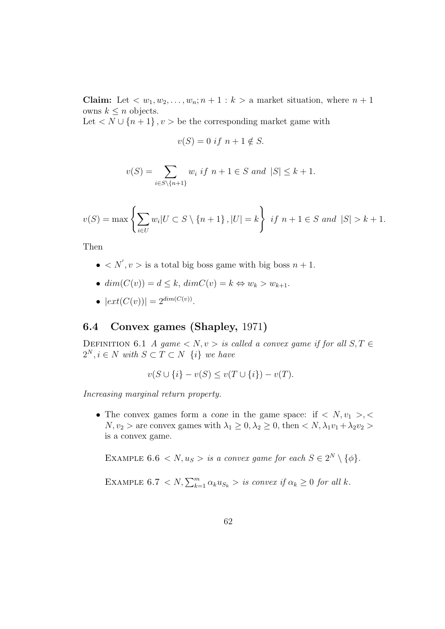**Claim:** Let  $\langle w_1, w_2, \ldots, w_n; n+1 : k \rangle$  a market situation, where  $n+1$ owns  $k \leq n$  objects.

Let  $\langle N \cup \{n+1\}, v \rangle$  be the corresponding market game with

$$
v(S) = 0 \text{ if } n+1 \notin S.
$$

$$
v(S) = \sum_{i \in S \setminus \{n+1\}} w_i \text{ if } n+1 \in S \text{ and } |S| \le k+1.
$$

$$
v(S) = \max \left\{ \sum_{i \in U} w_i | U \subset S \setminus \{n+1\}, |U| = k \right\} \text{ if } n+1 \in S \text{ and } |S| > k+1.
$$

Then

- $\bullet \langle N', v \rangle$  is a total big boss game with big boss  $n + 1$ .
- $dim(C(v)) = d \leq k$ ,  $dimC(v) = k \Leftrightarrow w_k > w_{k+1}$ .
- $|ext(C(v))| = 2^{dim(C(v))}$ .

# 6.4 Convex games (Shapley, 1971)

DEFINITION 6.1 A game  $\langle N, v \rangle$  is called a convex game if for all  $S, T \in$  $2^N, i \in N$  with  $S \subset T \subset N$   $\{i\}$  we have

$$
v(S \cup \{i\} - v(S) \le v(T \cup \{i\}) - v(T).
$$

Increasing marginal return property.

• The convex games form a cone in the game space: if  $\langle N, v_1 \rangle, \langle$  $N, v_2 >$  are convex games with  $\lambda_1 \geq 0, \lambda_2 \geq 0$ , then  $\langle N, \lambda_1 v_1 + \lambda_2 v_2 \rangle$ is a convex game.

EXAMPLE 6.6  $\langle N, u_S \rangle$  is a convex game for each  $S \in 2^N \setminus \{\phi\}.$ 

EXAMPLE 6.7 < N,  $\sum_{k=1}^{m} \alpha_k u_{S_k} >$  is convex if  $\alpha_k \geq 0$  for all k.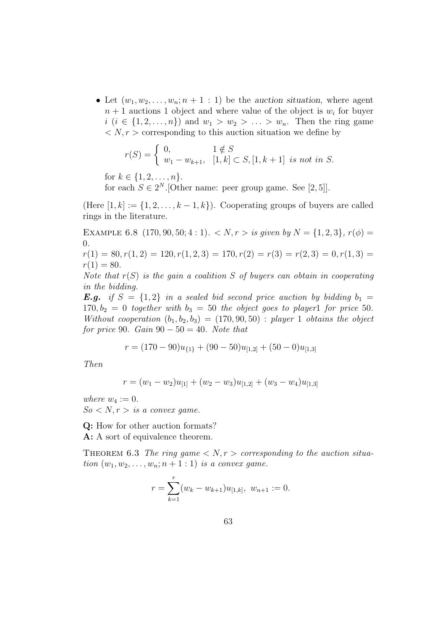• Let  $(w_1, w_2, \ldots, w_n; n+1:1)$  be the auction situation, where agent  $n+1$  auctions 1 object and where value of the object is  $w_i$  for buyer  $i \ (i \in \{1, 2, \ldots, n\})$  and  $w_1 > w_2 > \ldots > w_n$ . Then the ring game  $\langle N, r \rangle$  corresponding to this auction situation we define by

$$
r(S) = \begin{cases} 0, & 1 \notin S \\ w_1 - w_{k+1}, & [1, k] \subset S, [1, k+1] \text{ is not in } S. \end{cases}
$$

for  $k \in \{1, 2, ..., n\}$ .

for each  $S \in 2^N$ . [Other name: peer group game. See [2, 5]].

(Here  $[1, k] := \{1, 2, \ldots, k-1, k\}$ ). Cooperating groups of buyers are called rings in the literature.

EXAMPLE 6.8 (170, 90, 50; 4 : 1).  $\langle N, r \rangle$  is given by  $N = \{1, 2, 3\}, r(\phi) =$ 0.

 $r(1) = 80, r(1, 2) = 120, r(1, 2, 3) = 170, r(2) = r(3) = r(2, 3) = 0, r(1, 3) =$  $r(1) = 80.$ 

Note that  $r(S)$  is the gain a coalition S of buyers can obtain in cooperating in the bidding.

**E.g.** if  $S = \{1,2\}$  in a sealed bid second price auction by bidding  $b_1 =$  $170, b_2 = 0$  together with  $b_3 = 50$  the object goes to playerl for price 50. Without cooperation  $(b_1,b_2,b_3) = (170,90,50)$ : player 1 obtains the object for price 90. Gain  $90 - 50 = 40$ . Note that

$$
r = (170 - 90)u_{\{1\}} + (90 - 50)u_{[1,2]} + (50 - 0)u_{[1,3]}
$$

Then

$$
r = (w_1 - w_2)u_{[1]} + (w_2 - w_3)u_{[1,2]} + (w_3 - w_4)u_{[1,3]}
$$

where  $w_4 := 0$ .

 $So < N, r > is a convex game.$ 

Q: How for other auction formats? A: A sort of equivalence theorem.

THEOREM 6.3 The ring game  $\langle N, r \rangle$  corresponding to the auction situation  $(w_1, w_2, \ldots, w_n; n+1:1)$  is a convex game.

$$
r = \sum_{k=1}^{r} (w_k - w_{k+1})u_{[1,k]}, \ w_{n+1} := 0.
$$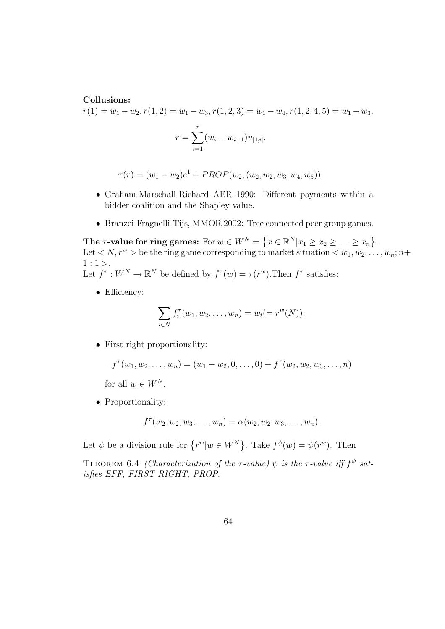#### Collusions:

 $r(1) = w_1 - w_2, r(1, 2) = w_1 - w_3, r(1, 2, 3) = w_1 - w_4, r(1, 2, 4, 5) = w_1 - w_3.$ 

$$
r = \sum_{i=1}^{r} (w_i - w_{i+1}) u_{[1,i]}.
$$

$$
\tau(r) = (w_1 - w_2)e^1 + PROP(w_2, (w_2, w_2, w_3, w_4, w_5)).
$$

- Graham-Marschall-Richard AER 1990: Different payments within a bidder coalition and the Shapley value.
- Branzei-Fragnelli-Tijs, MMOR 2002: Tree connected peer group games.

The  $\tau$ -value for ring games: For  $w \in W^N = \{x \in \mathbb{R}^N | x_1 \ge x_2 \ge \ldots \ge x_n\}.$ Let  $\langle N, r^w \rangle$  be the ring game corresponding to market situation  $\langle w_1, w_2, \ldots, w_n; n+1 \rangle$  $1:1$ . Let  $f^{\tau}: W^N \to \mathbb{R}^N$  be defined by  $f^{\tau}(w) = \tau(r^w)$ . Then  $f^{\tau}$  satisfies:

• Efficiency:

$$
\sum_{i \in N} f_i^{\tau}(w_1, w_2, \dots, w_n) = w_i (= r^w(N)).
$$

• First right proportionality:

$$
f^{\tau}(w_1, w_2, \ldots, w_n) = (w_1 - w_2, 0, \ldots, 0) + f^{\tau}(w_2, w_2, w_3, \ldots, n)
$$

for all  $w \in W^N$ .

• Proportionality:

$$
f^{\tau}(w_2, w_2, w_3, \ldots, w_n) = \alpha(w_2, w_2, w_3, \ldots, w_n).
$$

Let  $\psi$  be a division rule for  $\{r^w | w \in W^N\}$ . Take  $f^{\psi}(w) = \psi(r^w)$ . Then

THEOREM 6.4 (Characterization of the  $\tau$ -value)  $\psi$  is the  $\tau$ -value iff  $f^{\psi}$  satisfies EFF, FIRST RIGHT, PROP.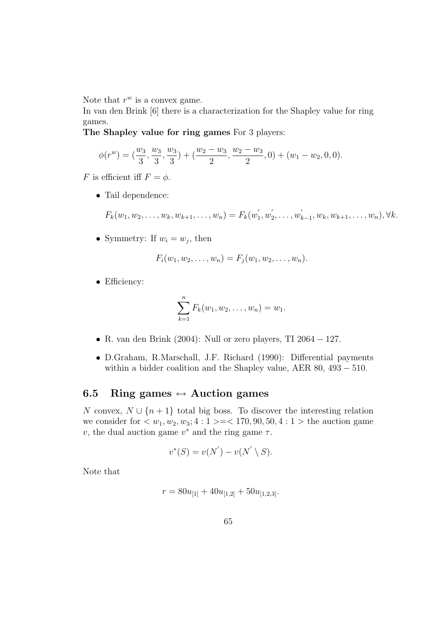Note that  $r^w$  is a convex game.

In van den Brink [6] there is a characterization for the Shapley value for ring games.

The Shapley value for ring games For 3 players:

$$
\phi(r^w) = (\frac{w_3}{3}, \frac{w_3}{3}, \frac{w_3}{3}) + (\frac{w_2 - w_3}{2}, \frac{w_2 - w_3}{2}, 0) + (w_1 - w_2, 0, 0).
$$

F is efficient iff  $F = \phi$ .

• Tail dependence:

$$
F_k(w_1, w_2, \dots, w_k, w_{k+1}, \dots, w_n) = F_k(w'_1, w'_2, \dots, w'_{k-1}, w_k, w_{k+1}, \dots, w_n), \forall k.
$$

• Symmetry: If  $w_i = w_j$ , then

$$
F_i(w_1, w_2, \ldots, w_n) = F_j(w_1, w_2, \ldots, w_n).
$$

• Efficiency:

$$
\sum_{k=1}^n F_k(w_1, w_2, \dots, w_n) = w_1.
$$

- R. van den Brink (2004): Null or zero players, TI  $2064 127$ .
- D.Graham, R.Marschall, J.F. Richard (1990): Differential payments within a bidder coalition and the Shapley value, AER 80, 493 − 510.

## 6.5 Ring games  $\leftrightarrow$  Auction games

N convex,  $N \cup \{n+1\}$  total big boss. To discover the interesting relation we consider for  $\langle w_1, w_2, w_3; 4 : 1 \rangle = \langle 170, 90, 50, 4 : 1 \rangle$  the auction game v, the dual auction game  $v^*$  and the ring game  $\tau$ .

$$
v^*(S) = v(N') - v(N' \setminus S).
$$

Note that

$$
r = 80u_{[1]} + 40u_{[1,2]} + 50u_{[1,2,3]}.
$$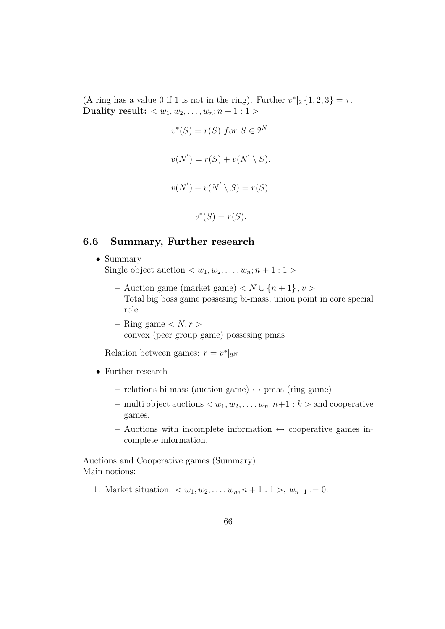(A ring has a value 0 if 1 is not in the ring). Further  $v^*|_2 \{1,2,3\} = \tau$ . Duality result:  $\langle w_1, w_2, \ldots, w_n; n+1:1 \rangle$ 

$$
v^*(S) = r(S) \text{ for } S \in 2^N.
$$
  

$$
v(N') = r(S) + v(N' \setminus S).
$$
  

$$
v(N') - v(N' \setminus S) = r(S).
$$
  

$$
v^*(S) = r(S).
$$

#### 6.6 Summary, Further research

- Summary Single object auction  $\langle w_1, w_2, \ldots, w_n; n+1:1 \rangle$ 
	- Auction game (market game) < N ∪ {n + 1} ,v > Total big boss game possesing bi-mass, union point in core special role.
	- Ring game  $\langle N, r \rangle$ convex (peer group game) possesing pmas

Relation between games:  $r = v^*|_{2^N}$ 

- Further research
	- relations bi-mass (auction game)  $\leftrightarrow$  pmas (ring game)
	- multi object auctions  $\langle w_1, w_2, \ldots, w_n; n+1 : k \rangle$  and cooperative games.
	- Auctions with incomplete information  $\leftrightarrow$  cooperative games incomplete information.

Auctions and Cooperative games (Summary): Main notions:

1. Market situation:  $\langle w_1, w_2, \ldots, w_n; n+1:1 \rangle, w_{n+1} := 0.$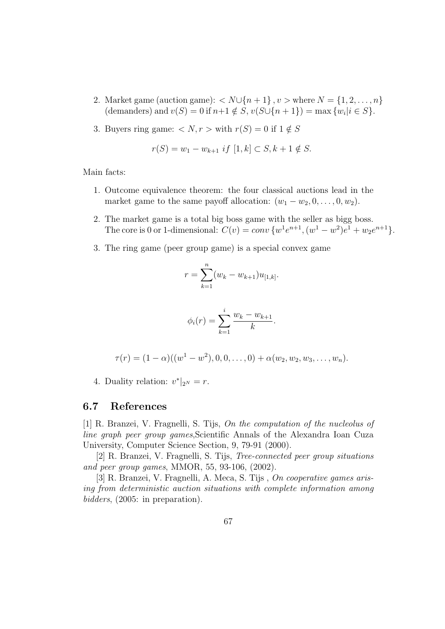- 2. Market game (auction game):  $\langle N \cup \{n+1\}, v \rangle$  where  $N = \{1, 2, ..., n\}$ (demanders) and  $v(S) = 0$  if  $n+1 \notin S$ ,  $v(S \cup \{n+1\}) = \max \{w_i | i \in S\}.$
- 3. Buyers ring game:  $\langle N, r \rangle$  with  $r(S) = 0$  if  $1 \notin S$

$$
r(S) = w_1 - w_{k+1} \text{ if } [1, k] \subset S, k+1 \notin S.
$$

Main facts:

- 1. Outcome equivalence theorem: the four classical auctions lead in the market game to the same payoff allocation:  $(w_1 - w_2, 0, \ldots, 0, w_2)$ .
- 2. The market game is a total big boss game with the seller as bigg boss. The core is 0 or 1-dimensional:  $C(v) = conv \{w^1 e^{n+1}, (w^1 - w^2)e^1 + w_2 e^{n+1}\}.$
- 3. The ring game (peer group game) is a special convex game

$$
r = \sum_{k=1}^{n} (w_k - w_{k+1}) u_{[1,k]}.
$$

$$
\phi_i(r) = \sum_{k=1}^i \frac{w_k - w_{k+1}}{k}
$$

.

$$
\tau(r) = (1 - \alpha)((w^1 - w^2), 0, 0, \dots, 0) + \alpha(w_2, w_2, w_3, \dots, w_n).
$$

4. Duality relation:  $v^*|_{2^N} = r$ .

## 6.7 References

[1] R. Branzei, V. Fragnelli, S. Tijs, On the computation of the nucleolus of line graph peer group games,Scientific Annals of the Alexandra Ioan Cuza University, Computer Science Section, 9, 79-91 (2000).

[2] R. Branzei, V. Fragnelli, S. Tijs, Tree-connected peer group situations and peer group games, MMOR, 55, 93-106, (2002).

[3] R. Branzei, V. Fragnelli, A. Meca, S. Tijs , On cooperative games arising from deterministic auction situations with complete information among bidders, (2005: in preparation).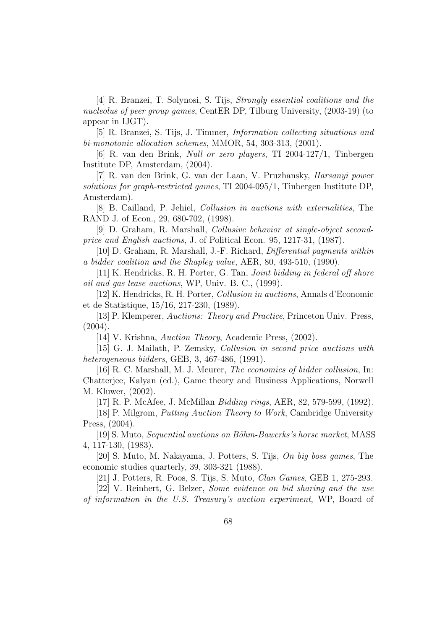[4] R. Branzei, T. Solynosi, S. Tijs, Strongly essential coalitions and the nucleolus of peer group games, CentER DP, Tilburg University, (2003-19) (to appear in IJGT).

[5] R. Branzei, S. Tijs, J. Timmer, Information collecting situations and bi-monotonic allocation schemes, MMOR, 54, 303-313, (2001).

[6] R. van den Brink, Null or zero players, TI 2004-127/1, Tinbergen Institute DP, Amsterdam, (2004).

[7] R. van den Brink, G. van der Laan, V. Pruzhansky, Harsanyi power solutions for graph-restricted games, TI 2004-095/1, Tinbergen Institute DP, Amsterdam).

[8] B. Cailland, P. Jehiel, Collusion in auctions with externalities, The RAND J. of Econ., 29, 680-702, (1998).

[9] D. Graham, R. Marshall, Collusive behavior at single-object secondprice and English auctions, J. of Political Econ. 95, 1217-31, (1987).

[10] D. Graham, R. Marshall, J.-F. Richard, Differential payments within a bidder coalition and the Shapley value, AER, 80, 493-510, (1990).

[11] K. Hendricks, R. H. Porter, G. Tan, Joint bidding in federal off shore oil and gas lease auctions, WP, Univ. B. C., (1999).

[12] K. Hendricks, R. H. Porter, Collusion in auctions, Annals d'Economic et de Statistique, 15/16, 217-230, (1989).

[13] P. Klemperer, Auctions: Theory and Practice, Princeton Univ. Press,  $(2004).$ 

[14] V. Krishna, Auction Theory, Academic Press, (2002).

[15] G. J. Mailath, P. Zemsky, Collusion in second price auctions with heterogeneous bidders, GEB, 3, 467-486, (1991).

[16] R. C. Marshall, M. J. Meurer, The economics of bidder collusion, In: Chatterjee, Kalyan (ed.), Game theory and Business Applications, Norwell M. Kluwer, (2002).

[17] R. P. McAfee, J. McMillan Bidding rings, AER, 82, 579-599, (1992).

[18] P. Milgrom, Putting Auction Theory to Work, Cambridge University Press, (2004).

[19] S. Muto, Sequential auctions on Böhm-Bawerks's horse market, MASS 4, 117-130, (1983).

[20] S. Muto, M. Nakayama, J. Potters, S. Tijs, On big boss games, The economic studies quarterly, 39, 303-321 (1988).

[21] J. Potters, R. Poos, S. Tijs, S. Muto, Clan Games, GEB 1, 275-293.

[22] V. Reinhert, G. Belzer, Some evidence on bid sharing and the use of information in the U.S. Treasury's auction experiment, WP, Board of